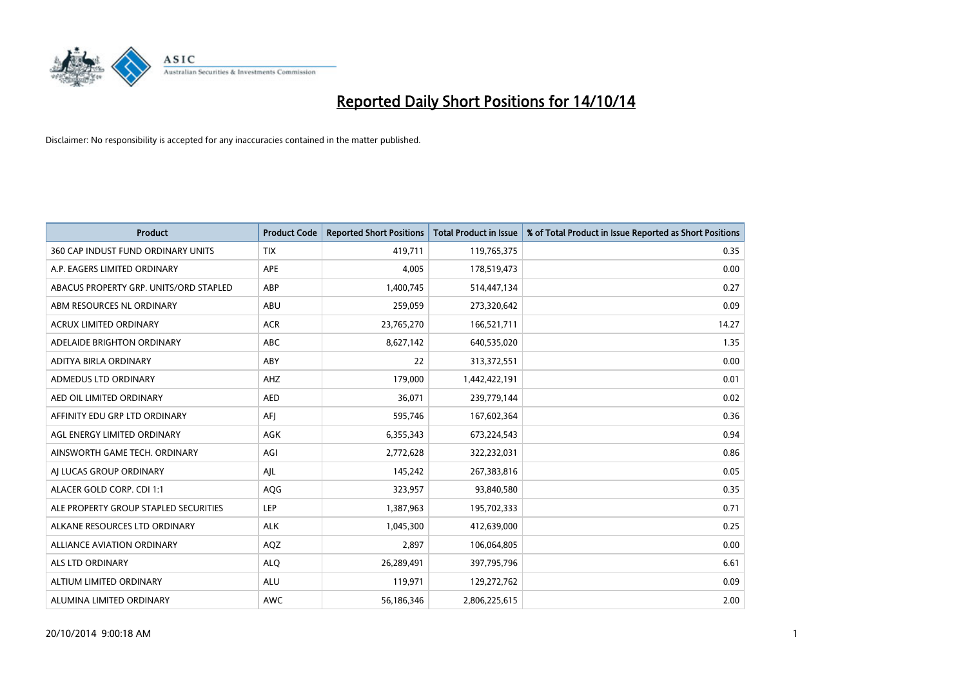

| <b>Product</b>                         | <b>Product Code</b> | <b>Reported Short Positions</b> | <b>Total Product in Issue</b> | % of Total Product in Issue Reported as Short Positions |
|----------------------------------------|---------------------|---------------------------------|-------------------------------|---------------------------------------------------------|
| 360 CAP INDUST FUND ORDINARY UNITS     | <b>TIX</b>          | 419,711                         | 119,765,375                   | 0.35                                                    |
| A.P. EAGERS LIMITED ORDINARY           | <b>APE</b>          | 4,005                           | 178,519,473                   | 0.00                                                    |
| ABACUS PROPERTY GRP. UNITS/ORD STAPLED | ABP                 | 1,400,745                       | 514,447,134                   | 0.27                                                    |
| ABM RESOURCES NL ORDINARY              | ABU                 | 259,059                         | 273,320,642                   | 0.09                                                    |
| <b>ACRUX LIMITED ORDINARY</b>          | <b>ACR</b>          | 23,765,270                      | 166,521,711                   | 14.27                                                   |
| ADELAIDE BRIGHTON ORDINARY             | <b>ABC</b>          | 8,627,142                       | 640,535,020                   | 1.35                                                    |
| ADITYA BIRLA ORDINARY                  | ABY                 | 22                              | 313,372,551                   | 0.00                                                    |
| ADMEDUS LTD ORDINARY                   | AHZ                 | 179,000                         | 1,442,422,191                 | 0.01                                                    |
| AED OIL LIMITED ORDINARY               | <b>AED</b>          | 36,071                          | 239,779,144                   | 0.02                                                    |
| AFFINITY EDU GRP LTD ORDINARY          | AFI                 | 595,746                         | 167,602,364                   | 0.36                                                    |
| AGL ENERGY LIMITED ORDINARY            | AGK                 | 6,355,343                       | 673,224,543                   | 0.94                                                    |
| AINSWORTH GAME TECH. ORDINARY          | AGI                 | 2,772,628                       | 322,232,031                   | 0.86                                                    |
| AI LUCAS GROUP ORDINARY                | AJL                 | 145,242                         | 267,383,816                   | 0.05                                                    |
| ALACER GOLD CORP. CDI 1:1              | AQG                 | 323,957                         | 93,840,580                    | 0.35                                                    |
| ALE PROPERTY GROUP STAPLED SECURITIES  | <b>LEP</b>          | 1,387,963                       | 195,702,333                   | 0.71                                                    |
| ALKANE RESOURCES LTD ORDINARY          | <b>ALK</b>          | 1,045,300                       | 412,639,000                   | 0.25                                                    |
| ALLIANCE AVIATION ORDINARY             | AQZ                 | 2,897                           | 106,064,805                   | 0.00                                                    |
| <b>ALS LTD ORDINARY</b>                | <b>ALQ</b>          | 26,289,491                      | 397,795,796                   | 6.61                                                    |
| ALTIUM LIMITED ORDINARY                | <b>ALU</b>          | 119,971                         | 129,272,762                   | 0.09                                                    |
| ALUMINA LIMITED ORDINARY               | AWC                 | 56,186,346                      | 2,806,225,615                 | 2.00                                                    |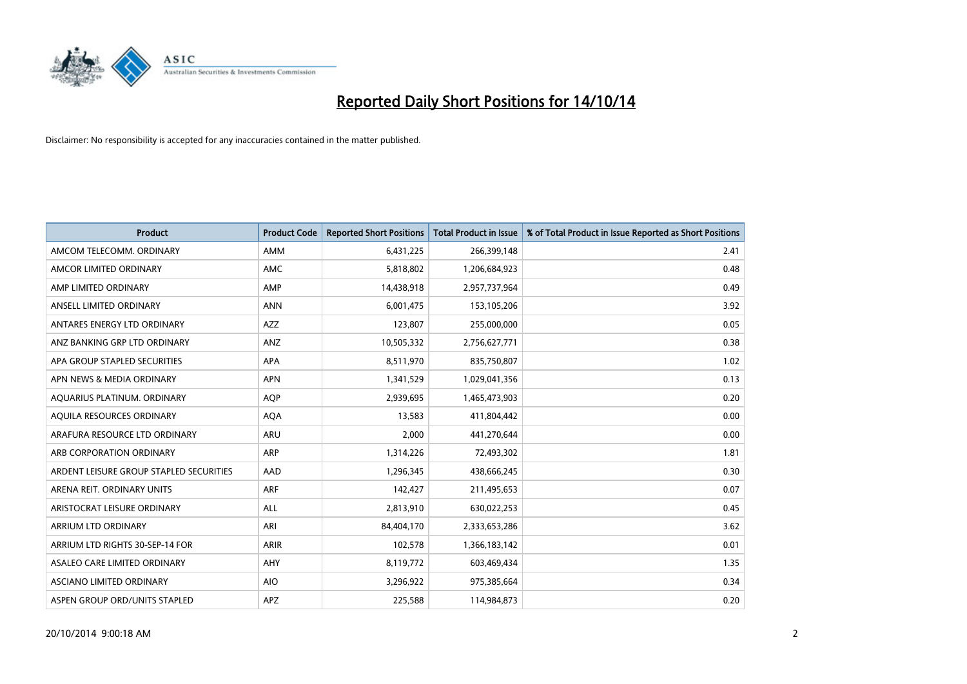

| Product                                 | <b>Product Code</b> | <b>Reported Short Positions</b> | <b>Total Product in Issue</b> | % of Total Product in Issue Reported as Short Positions |
|-----------------------------------------|---------------------|---------------------------------|-------------------------------|---------------------------------------------------------|
| AMCOM TELECOMM, ORDINARY                | AMM                 | 6,431,225                       | 266,399,148                   | 2.41                                                    |
| AMCOR LIMITED ORDINARY                  | AMC                 | 5,818,802                       | 1,206,684,923                 | 0.48                                                    |
| AMP LIMITED ORDINARY                    | AMP                 | 14,438,918                      | 2,957,737,964                 | 0.49                                                    |
| ANSELL LIMITED ORDINARY                 | <b>ANN</b>          | 6,001,475                       | 153,105,206                   | 3.92                                                    |
| ANTARES ENERGY LTD ORDINARY             | <b>AZZ</b>          | 123,807                         | 255,000,000                   | 0.05                                                    |
| ANZ BANKING GRP LTD ORDINARY            | ANZ                 | 10,505,332                      | 2,756,627,771                 | 0.38                                                    |
| APA GROUP STAPLED SECURITIES            | APA                 | 8,511,970                       | 835,750,807                   | 1.02                                                    |
| APN NEWS & MEDIA ORDINARY               | <b>APN</b>          | 1,341,529                       | 1,029,041,356                 | 0.13                                                    |
| AQUARIUS PLATINUM. ORDINARY             | <b>AOP</b>          | 2,939,695                       | 1,465,473,903                 | 0.20                                                    |
| AQUILA RESOURCES ORDINARY               | <b>AQA</b>          | 13,583                          | 411,804,442                   | 0.00                                                    |
| ARAFURA RESOURCE LTD ORDINARY           | ARU                 | 2,000                           | 441,270,644                   | 0.00                                                    |
| ARB CORPORATION ORDINARY                | ARP                 | 1,314,226                       | 72,493,302                    | 1.81                                                    |
| ARDENT LEISURE GROUP STAPLED SECURITIES | AAD                 | 1,296,345                       | 438,666,245                   | 0.30                                                    |
| ARENA REIT. ORDINARY UNITS              | <b>ARF</b>          | 142,427                         | 211,495,653                   | 0.07                                                    |
| ARISTOCRAT LEISURE ORDINARY             | ALL                 | 2,813,910                       | 630,022,253                   | 0.45                                                    |
| ARRIUM LTD ORDINARY                     | ARI                 | 84,404,170                      | 2,333,653,286                 | 3.62                                                    |
| ARRIUM LTD RIGHTS 30-SEP-14 FOR         | <b>ARIR</b>         | 102,578                         | 1,366,183,142                 | 0.01                                                    |
| ASALEO CARE LIMITED ORDINARY            | AHY                 | 8,119,772                       | 603,469,434                   | 1.35                                                    |
| ASCIANO LIMITED ORDINARY                | <b>AIO</b>          | 3,296,922                       | 975,385,664                   | 0.34                                                    |
| ASPEN GROUP ORD/UNITS STAPLED           | APZ                 | 225,588                         | 114,984,873                   | 0.20                                                    |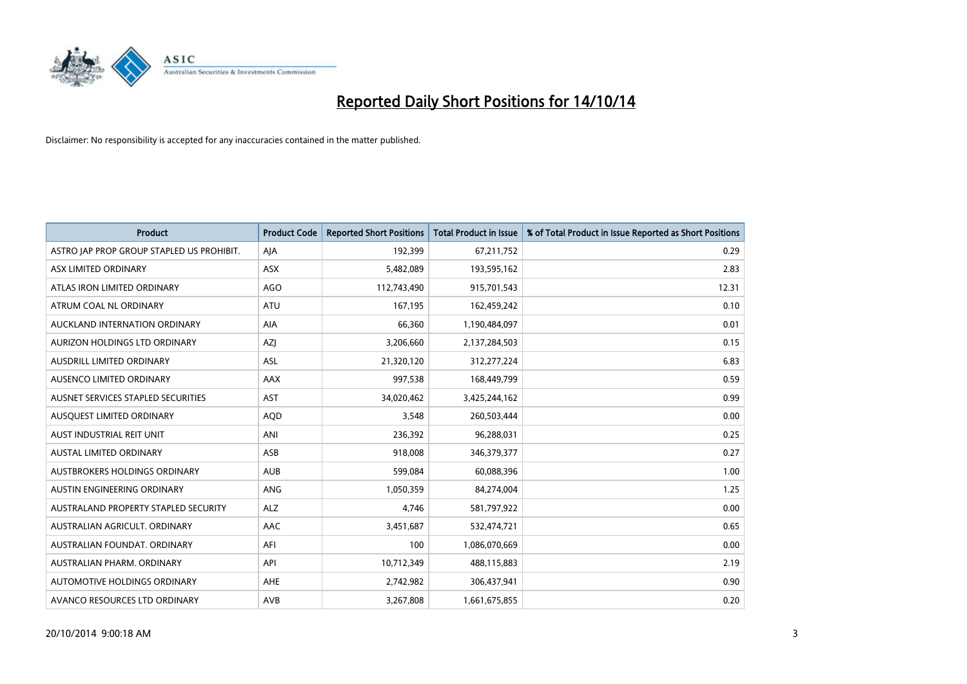

| <b>Product</b>                            | <b>Product Code</b> | <b>Reported Short Positions</b> | <b>Total Product in Issue</b> | % of Total Product in Issue Reported as Short Positions |
|-------------------------------------------|---------------------|---------------------------------|-------------------------------|---------------------------------------------------------|
| ASTRO JAP PROP GROUP STAPLED US PROHIBIT. | AJA                 | 192,399                         | 67,211,752                    | 0.29                                                    |
| ASX LIMITED ORDINARY                      | ASX                 | 5,482,089                       | 193,595,162                   | 2.83                                                    |
| ATLAS IRON LIMITED ORDINARY               | AGO                 | 112,743,490                     | 915,701,543                   | 12.31                                                   |
| ATRUM COAL NL ORDINARY                    | <b>ATU</b>          | 167,195                         | 162,459,242                   | 0.10                                                    |
| AUCKLAND INTERNATION ORDINARY             | AIA                 | 66,360                          | 1,190,484,097                 | 0.01                                                    |
| AURIZON HOLDINGS LTD ORDINARY             | AZJ                 | 3,206,660                       | 2,137,284,503                 | 0.15                                                    |
| AUSDRILL LIMITED ORDINARY                 | <b>ASL</b>          | 21,320,120                      | 312,277,224                   | 6.83                                                    |
| AUSENCO LIMITED ORDINARY                  | AAX                 | 997,538                         | 168,449,799                   | 0.59                                                    |
| AUSNET SERVICES STAPLED SECURITIES        | <b>AST</b>          | 34,020,462                      | 3,425,244,162                 | 0.99                                                    |
| AUSQUEST LIMITED ORDINARY                 | <b>AQD</b>          | 3,548                           | 260,503,444                   | 0.00                                                    |
| AUST INDUSTRIAL REIT UNIT                 | ANI                 | 236,392                         | 96,288,031                    | 0.25                                                    |
| <b>AUSTAL LIMITED ORDINARY</b>            | ASB                 | 918,008                         | 346,379,377                   | 0.27                                                    |
| AUSTBROKERS HOLDINGS ORDINARY             | <b>AUB</b>          | 599,084                         | 60,088,396                    | 1.00                                                    |
| AUSTIN ENGINEERING ORDINARY               | ANG                 | 1,050,359                       | 84,274,004                    | 1.25                                                    |
| AUSTRALAND PROPERTY STAPLED SECURITY      | <b>ALZ</b>          | 4,746                           | 581,797,922                   | 0.00                                                    |
| AUSTRALIAN AGRICULT, ORDINARY             | AAC                 | 3,451,687                       | 532,474,721                   | 0.65                                                    |
| AUSTRALIAN FOUNDAT. ORDINARY              | AFI                 | 100                             | 1,086,070,669                 | 0.00                                                    |
| AUSTRALIAN PHARM, ORDINARY                | API                 | 10,712,349                      | 488,115,883                   | 2.19                                                    |
| AUTOMOTIVE HOLDINGS ORDINARY              | AHE                 | 2,742,982                       | 306,437,941                   | 0.90                                                    |
| AVANCO RESOURCES LTD ORDINARY             | AVB                 | 3,267,808                       | 1,661,675,855                 | 0.20                                                    |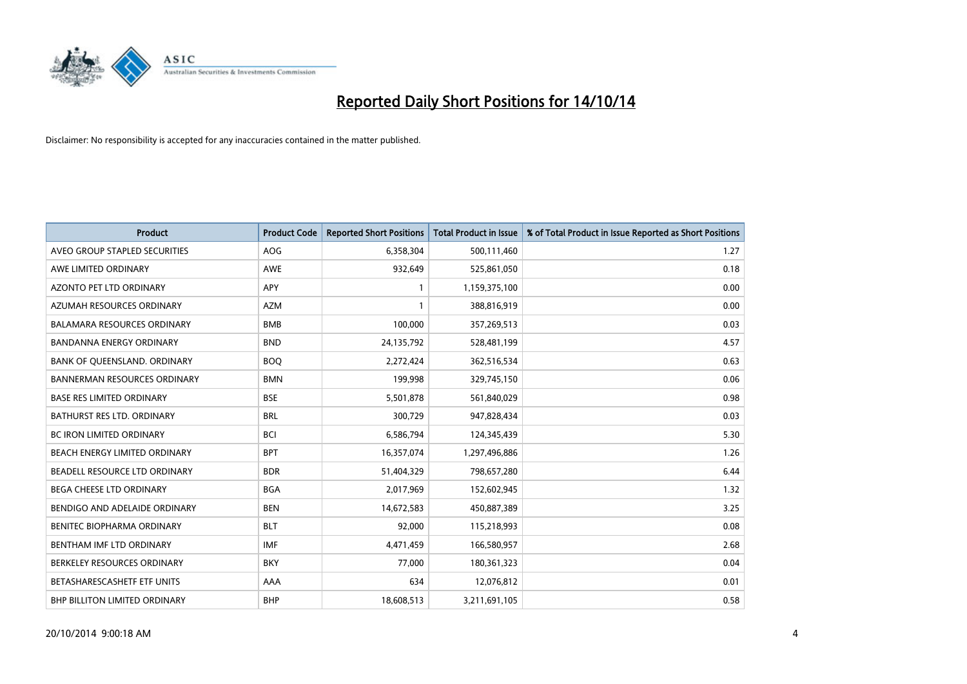

| <b>Product</b>                       | <b>Product Code</b> | <b>Reported Short Positions</b> | <b>Total Product in Issue</b> | % of Total Product in Issue Reported as Short Positions |
|--------------------------------------|---------------------|---------------------------------|-------------------------------|---------------------------------------------------------|
| AVEO GROUP STAPLED SECURITIES        | AOG                 | 6,358,304                       | 500,111,460                   | 1.27                                                    |
| AWE LIMITED ORDINARY                 | <b>AWE</b>          | 932,649                         | 525,861,050                   | 0.18                                                    |
| AZONTO PET LTD ORDINARY              | APY                 | $\mathbf{1}$                    | 1,159,375,100                 | 0.00                                                    |
| AZUMAH RESOURCES ORDINARY            | <b>AZM</b>          | $\mathbf{1}$                    | 388,816,919                   | 0.00                                                    |
| <b>BALAMARA RESOURCES ORDINARY</b>   | <b>BMB</b>          | 100,000                         | 357,269,513                   | 0.03                                                    |
| <b>BANDANNA ENERGY ORDINARY</b>      | <b>BND</b>          | 24,135,792                      | 528,481,199                   | 4.57                                                    |
| BANK OF QUEENSLAND. ORDINARY         | <b>BOQ</b>          | 2,272,424                       | 362,516,534                   | 0.63                                                    |
| <b>BANNERMAN RESOURCES ORDINARY</b>  | <b>BMN</b>          | 199,998                         | 329,745,150                   | 0.06                                                    |
| <b>BASE RES LIMITED ORDINARY</b>     | <b>BSE</b>          | 5,501,878                       | 561,840,029                   | 0.98                                                    |
| <b>BATHURST RES LTD. ORDINARY</b>    | <b>BRL</b>          | 300,729                         | 947,828,434                   | 0.03                                                    |
| <b>BC IRON LIMITED ORDINARY</b>      | <b>BCI</b>          | 6,586,794                       | 124,345,439                   | 5.30                                                    |
| BEACH ENERGY LIMITED ORDINARY        | <b>BPT</b>          | 16,357,074                      | 1,297,496,886                 | 1.26                                                    |
| BEADELL RESOURCE LTD ORDINARY        | <b>BDR</b>          | 51,404,329                      | 798,657,280                   | 6.44                                                    |
| <b>BEGA CHEESE LTD ORDINARY</b>      | <b>BGA</b>          | 2,017,969                       | 152,602,945                   | 1.32                                                    |
| BENDIGO AND ADELAIDE ORDINARY        | <b>BEN</b>          | 14,672,583                      | 450,887,389                   | 3.25                                                    |
| BENITEC BIOPHARMA ORDINARY           | <b>BLT</b>          | 92,000                          | 115,218,993                   | 0.08                                                    |
| BENTHAM IMF LTD ORDINARY             | <b>IMF</b>          | 4,471,459                       | 166,580,957                   | 2.68                                                    |
| BERKELEY RESOURCES ORDINARY          | <b>BKY</b>          | 77,000                          | 180,361,323                   | 0.04                                                    |
| BETASHARESCASHETF ETF UNITS          | AAA                 | 634                             | 12,076,812                    | 0.01                                                    |
| <b>BHP BILLITON LIMITED ORDINARY</b> | <b>BHP</b>          | 18,608,513                      | 3,211,691,105                 | 0.58                                                    |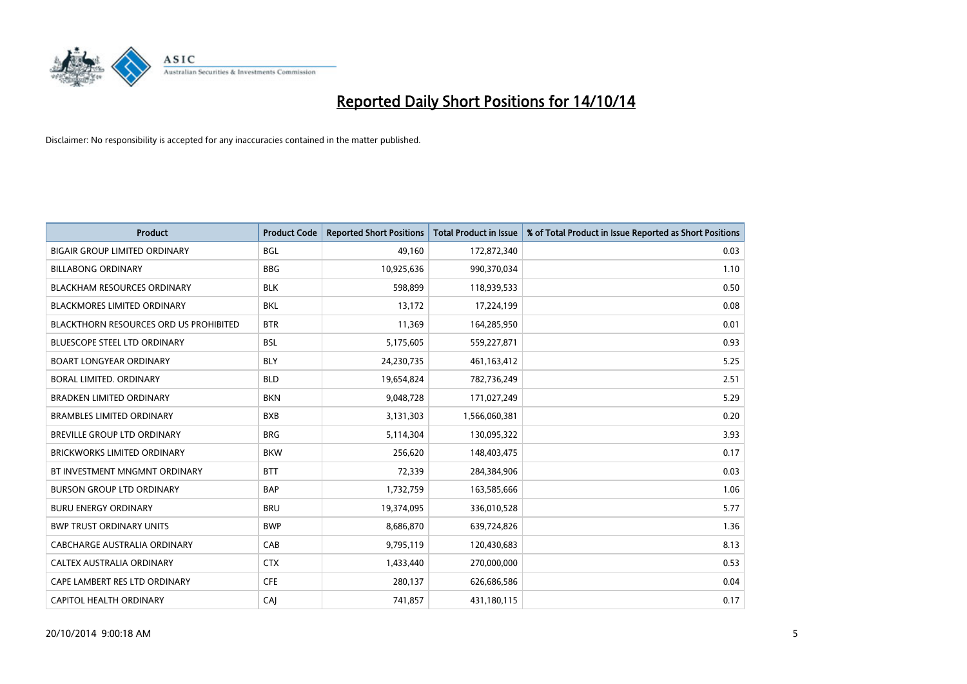

| <b>Product</b>                                | <b>Product Code</b> | <b>Reported Short Positions</b> | <b>Total Product in Issue</b> | % of Total Product in Issue Reported as Short Positions |
|-----------------------------------------------|---------------------|---------------------------------|-------------------------------|---------------------------------------------------------|
| <b>BIGAIR GROUP LIMITED ORDINARY</b>          | <b>BGL</b>          | 49,160                          | 172,872,340                   | 0.03                                                    |
| <b>BILLABONG ORDINARY</b>                     | <b>BBG</b>          | 10,925,636                      | 990,370,034                   | 1.10                                                    |
| <b>BLACKHAM RESOURCES ORDINARY</b>            | <b>BLK</b>          | 598,899                         | 118,939,533                   | 0.50                                                    |
| <b>BLACKMORES LIMITED ORDINARY</b>            | <b>BKL</b>          | 13,172                          | 17,224,199                    | 0.08                                                    |
| <b>BLACKTHORN RESOURCES ORD US PROHIBITED</b> | <b>BTR</b>          | 11,369                          | 164,285,950                   | 0.01                                                    |
| <b>BLUESCOPE STEEL LTD ORDINARY</b>           | <b>BSL</b>          | 5,175,605                       | 559,227,871                   | 0.93                                                    |
| <b>BOART LONGYEAR ORDINARY</b>                | <b>BLY</b>          | 24,230,735                      | 461,163,412                   | 5.25                                                    |
| BORAL LIMITED, ORDINARY                       | <b>BLD</b>          | 19,654,824                      | 782,736,249                   | 2.51                                                    |
| <b>BRADKEN LIMITED ORDINARY</b>               | <b>BKN</b>          | 9,048,728                       | 171,027,249                   | 5.29                                                    |
| <b>BRAMBLES LIMITED ORDINARY</b>              | <b>BXB</b>          | 3,131,303                       | 1,566,060,381                 | 0.20                                                    |
| BREVILLE GROUP LTD ORDINARY                   | <b>BRG</b>          | 5,114,304                       | 130,095,322                   | 3.93                                                    |
| <b>BRICKWORKS LIMITED ORDINARY</b>            | <b>BKW</b>          | 256,620                         | 148,403,475                   | 0.17                                                    |
| BT INVESTMENT MNGMNT ORDINARY                 | <b>BTT</b>          | 72,339                          | 284,384,906                   | 0.03                                                    |
| <b>BURSON GROUP LTD ORDINARY</b>              | <b>BAP</b>          | 1,732,759                       | 163,585,666                   | 1.06                                                    |
| <b>BURU ENERGY ORDINARY</b>                   | <b>BRU</b>          | 19,374,095                      | 336,010,528                   | 5.77                                                    |
| <b>BWP TRUST ORDINARY UNITS</b>               | <b>BWP</b>          | 8,686,870                       | 639,724,826                   | 1.36                                                    |
| CABCHARGE AUSTRALIA ORDINARY                  | CAB                 | 9,795,119                       | 120,430,683                   | 8.13                                                    |
| CALTEX AUSTRALIA ORDINARY                     | <b>CTX</b>          | 1,433,440                       | 270,000,000                   | 0.53                                                    |
| CAPE LAMBERT RES LTD ORDINARY                 | <b>CFE</b>          | 280,137                         | 626,686,586                   | 0.04                                                    |
| CAPITOL HEALTH ORDINARY                       | CAJ                 | 741,857                         | 431,180,115                   | 0.17                                                    |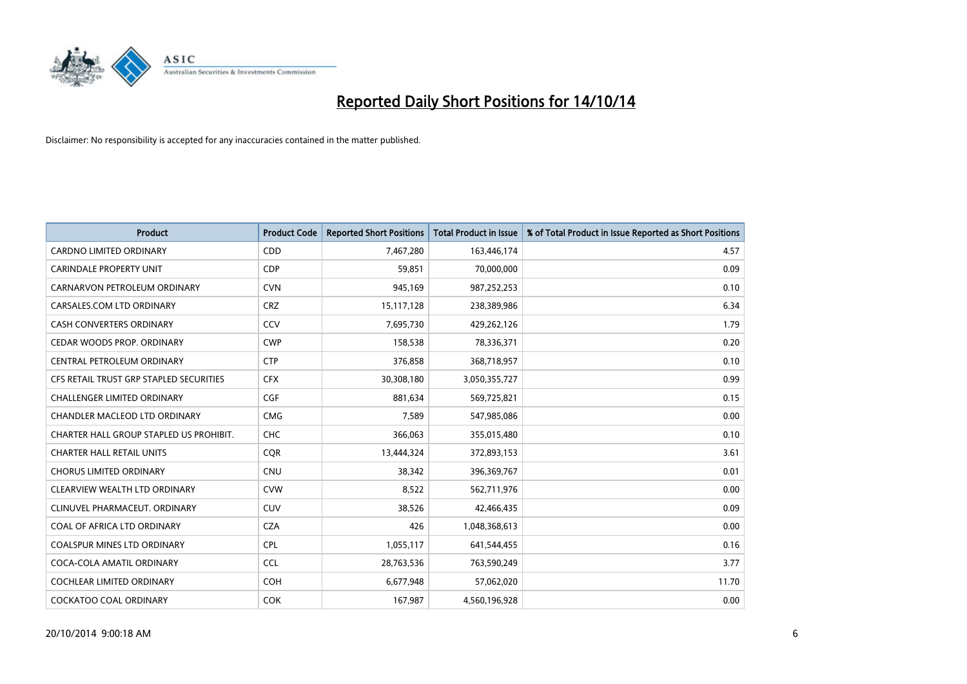

| <b>Product</b>                          | <b>Product Code</b> | <b>Reported Short Positions</b> | <b>Total Product in Issue</b> | % of Total Product in Issue Reported as Short Positions |
|-----------------------------------------|---------------------|---------------------------------|-------------------------------|---------------------------------------------------------|
| <b>CARDNO LIMITED ORDINARY</b>          | CDD                 | 7,467,280                       | 163,446,174                   | 4.57                                                    |
| <b>CARINDALE PROPERTY UNIT</b>          | <b>CDP</b>          | 59,851                          | 70,000,000                    | 0.09                                                    |
| CARNARVON PETROLEUM ORDINARY            | <b>CVN</b>          | 945,169                         | 987,252,253                   | 0.10                                                    |
| CARSALES.COM LTD ORDINARY               | <b>CRZ</b>          | 15,117,128                      | 238,389,986                   | 6.34                                                    |
| <b>CASH CONVERTERS ORDINARY</b>         | CCV                 | 7,695,730                       | 429,262,126                   | 1.79                                                    |
| CEDAR WOODS PROP. ORDINARY              | <b>CWP</b>          | 158,538                         | 78,336,371                    | 0.20                                                    |
| CENTRAL PETROLEUM ORDINARY              | <b>CTP</b>          | 376,858                         | 368,718,957                   | 0.10                                                    |
| CFS RETAIL TRUST GRP STAPLED SECURITIES | <b>CFX</b>          | 30,308,180                      | 3,050,355,727                 | 0.99                                                    |
| <b>CHALLENGER LIMITED ORDINARY</b>      | <b>CGF</b>          | 881,634                         | 569,725,821                   | 0.15                                                    |
| CHANDLER MACLEOD LTD ORDINARY           | <b>CMG</b>          | 7,589                           | 547,985,086                   | 0.00                                                    |
| CHARTER HALL GROUP STAPLED US PROHIBIT. | <b>CHC</b>          | 366,063                         | 355,015,480                   | 0.10                                                    |
| <b>CHARTER HALL RETAIL UNITS</b>        | <b>CQR</b>          | 13,444,324                      | 372,893,153                   | 3.61                                                    |
| <b>CHORUS LIMITED ORDINARY</b>          | <b>CNU</b>          | 38,342                          | 396,369,767                   | 0.01                                                    |
| CLEARVIEW WEALTH LTD ORDINARY           | <b>CVW</b>          | 8,522                           | 562,711,976                   | 0.00                                                    |
| CLINUVEL PHARMACEUT, ORDINARY           | CUV                 | 38,526                          | 42,466,435                    | 0.09                                                    |
| COAL OF AFRICA LTD ORDINARY             | <b>CZA</b>          | 426                             | 1,048,368,613                 | 0.00                                                    |
| COALSPUR MINES LTD ORDINARY             | <b>CPL</b>          | 1,055,117                       | 641,544,455                   | 0.16                                                    |
| COCA-COLA AMATIL ORDINARY               | <b>CCL</b>          | 28,763,536                      | 763,590,249                   | 3.77                                                    |
| <b>COCHLEAR LIMITED ORDINARY</b>        | <b>COH</b>          | 6,677,948                       | 57,062,020                    | 11.70                                                   |
| COCKATOO COAL ORDINARY                  | <b>COK</b>          | 167,987                         | 4,560,196,928                 | 0.00                                                    |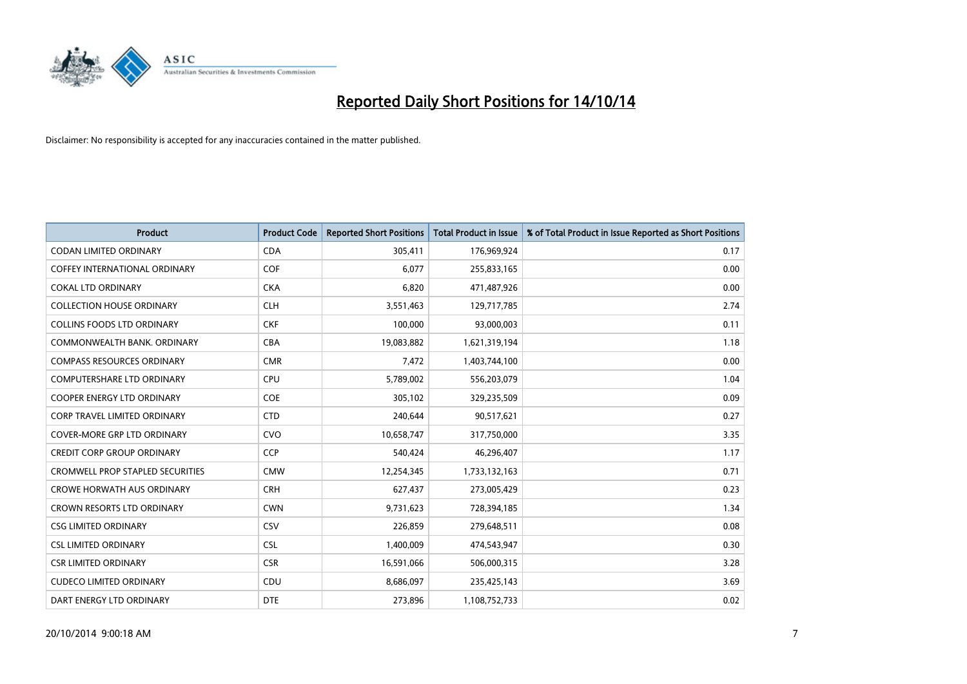

| <b>Product</b>                          | <b>Product Code</b> | <b>Reported Short Positions</b> | <b>Total Product in Issue</b> | % of Total Product in Issue Reported as Short Positions |
|-----------------------------------------|---------------------|---------------------------------|-------------------------------|---------------------------------------------------------|
| <b>CODAN LIMITED ORDINARY</b>           | <b>CDA</b>          | 305,411                         | 176,969,924                   | 0.17                                                    |
| COFFEY INTERNATIONAL ORDINARY           | <b>COF</b>          | 6,077                           | 255,833,165                   | 0.00                                                    |
| <b>COKAL LTD ORDINARY</b>               | <b>CKA</b>          | 6,820                           | 471,487,926                   | 0.00                                                    |
| <b>COLLECTION HOUSE ORDINARY</b>        | <b>CLH</b>          | 3,551,463                       | 129,717,785                   | 2.74                                                    |
| <b>COLLINS FOODS LTD ORDINARY</b>       | <b>CKF</b>          | 100,000                         | 93,000,003                    | 0.11                                                    |
| COMMONWEALTH BANK, ORDINARY             | <b>CBA</b>          | 19,083,882                      | 1,621,319,194                 | 1.18                                                    |
| <b>COMPASS RESOURCES ORDINARY</b>       | <b>CMR</b>          | 7,472                           | 1,403,744,100                 | 0.00                                                    |
| <b>COMPUTERSHARE LTD ORDINARY</b>       | <b>CPU</b>          | 5,789,002                       | 556,203,079                   | 1.04                                                    |
| <b>COOPER ENERGY LTD ORDINARY</b>       | <b>COE</b>          | 305,102                         | 329,235,509                   | 0.09                                                    |
| <b>CORP TRAVEL LIMITED ORDINARY</b>     | <b>CTD</b>          | 240,644                         | 90,517,621                    | 0.27                                                    |
| <b>COVER-MORE GRP LTD ORDINARY</b>      | <b>CVO</b>          | 10,658,747                      | 317,750,000                   | 3.35                                                    |
| <b>CREDIT CORP GROUP ORDINARY</b>       | <b>CCP</b>          | 540,424                         | 46,296,407                    | 1.17                                                    |
| <b>CROMWELL PROP STAPLED SECURITIES</b> | <b>CMW</b>          | 12,254,345                      | 1,733,132,163                 | 0.71                                                    |
| <b>CROWE HORWATH AUS ORDINARY</b>       | <b>CRH</b>          | 627,437                         | 273,005,429                   | 0.23                                                    |
| <b>CROWN RESORTS LTD ORDINARY</b>       | <b>CWN</b>          | 9,731,623                       | 728,394,185                   | 1.34                                                    |
| <b>CSG LIMITED ORDINARY</b>             | <b>CSV</b>          | 226,859                         | 279,648,511                   | 0.08                                                    |
| <b>CSL LIMITED ORDINARY</b>             | <b>CSL</b>          | 1,400,009                       | 474,543,947                   | 0.30                                                    |
| <b>CSR LIMITED ORDINARY</b>             | <b>CSR</b>          | 16,591,066                      | 506,000,315                   | 3.28                                                    |
| <b>CUDECO LIMITED ORDINARY</b>          | CDU                 | 8,686,097                       | 235,425,143                   | 3.69                                                    |
| DART ENERGY LTD ORDINARY                | <b>DTE</b>          | 273,896                         | 1,108,752,733                 | 0.02                                                    |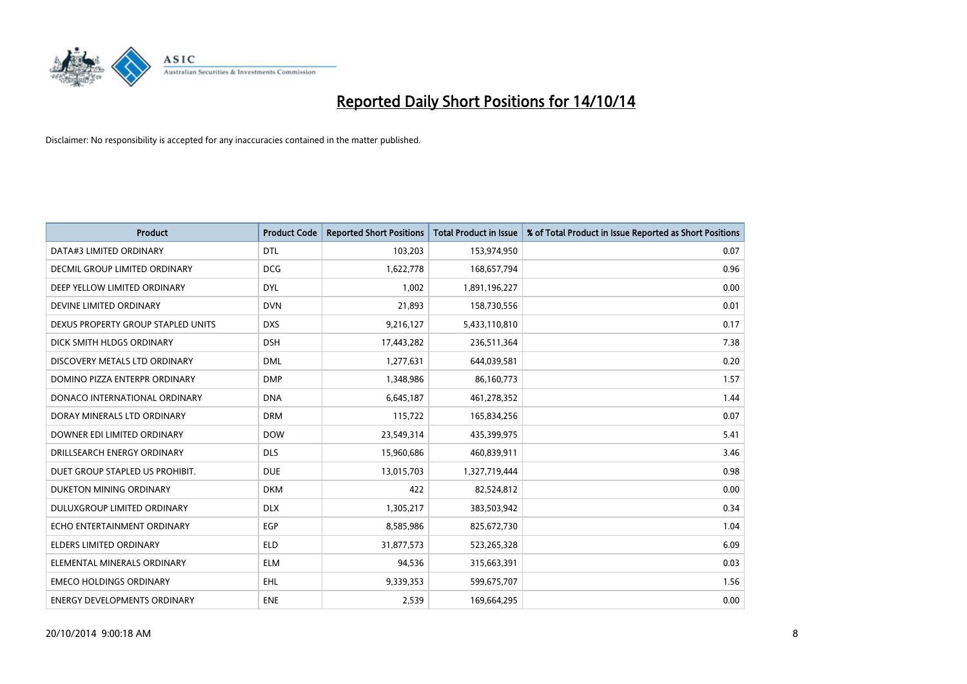

| <b>Product</b>                     | <b>Product Code</b> | <b>Reported Short Positions</b> | <b>Total Product in Issue</b> | % of Total Product in Issue Reported as Short Positions |
|------------------------------------|---------------------|---------------------------------|-------------------------------|---------------------------------------------------------|
| DATA#3 LIMITED ORDINARY            | <b>DTL</b>          | 103,203                         | 153,974,950                   | 0.07                                                    |
| DECMIL GROUP LIMITED ORDINARY      | <b>DCG</b>          | 1,622,778                       | 168,657,794                   | 0.96                                                    |
| DEEP YELLOW LIMITED ORDINARY       | <b>DYL</b>          | 1,002                           | 1,891,196,227                 | 0.00                                                    |
| DEVINE LIMITED ORDINARY            | <b>DVN</b>          | 21,893                          | 158,730,556                   | 0.01                                                    |
| DEXUS PROPERTY GROUP STAPLED UNITS | <b>DXS</b>          | 9,216,127                       | 5,433,110,810                 | 0.17                                                    |
| DICK SMITH HLDGS ORDINARY          | <b>DSH</b>          | 17,443,282                      | 236,511,364                   | 7.38                                                    |
| DISCOVERY METALS LTD ORDINARY      | <b>DML</b>          | 1,277,631                       | 644,039,581                   | 0.20                                                    |
| DOMINO PIZZA ENTERPR ORDINARY      | <b>DMP</b>          | 1,348,986                       | 86,160,773                    | 1.57                                                    |
| DONACO INTERNATIONAL ORDINARY      | <b>DNA</b>          | 6,645,187                       | 461,278,352                   | 1.44                                                    |
| DORAY MINERALS LTD ORDINARY        | <b>DRM</b>          | 115,722                         | 165,834,256                   | 0.07                                                    |
| DOWNER EDI LIMITED ORDINARY        | <b>DOW</b>          | 23,549,314                      | 435,399,975                   | 5.41                                                    |
| DRILLSEARCH ENERGY ORDINARY        | <b>DLS</b>          | 15,960,686                      | 460,839,911                   | 3.46                                                    |
| DUET GROUP STAPLED US PROHIBIT.    | <b>DUE</b>          | 13,015,703                      | 1,327,719,444                 | 0.98                                                    |
| DUKETON MINING ORDINARY            | <b>DKM</b>          | 422                             | 82,524,812                    | 0.00                                                    |
| DULUXGROUP LIMITED ORDINARY        | <b>DLX</b>          | 1,305,217                       | 383,503,942                   | 0.34                                                    |
| ECHO ENTERTAINMENT ORDINARY        | <b>EGP</b>          | 8,585,986                       | 825,672,730                   | 1.04                                                    |
| ELDERS LIMITED ORDINARY            | <b>ELD</b>          | 31,877,573                      | 523,265,328                   | 6.09                                                    |
| ELEMENTAL MINERALS ORDINARY        | ELM                 | 94,536                          | 315,663,391                   | 0.03                                                    |
| <b>EMECO HOLDINGS ORDINARY</b>     | <b>EHL</b>          | 9,339,353                       | 599,675,707                   | 1.56                                                    |
| ENERGY DEVELOPMENTS ORDINARY       | <b>ENE</b>          | 2,539                           | 169,664,295                   | 0.00                                                    |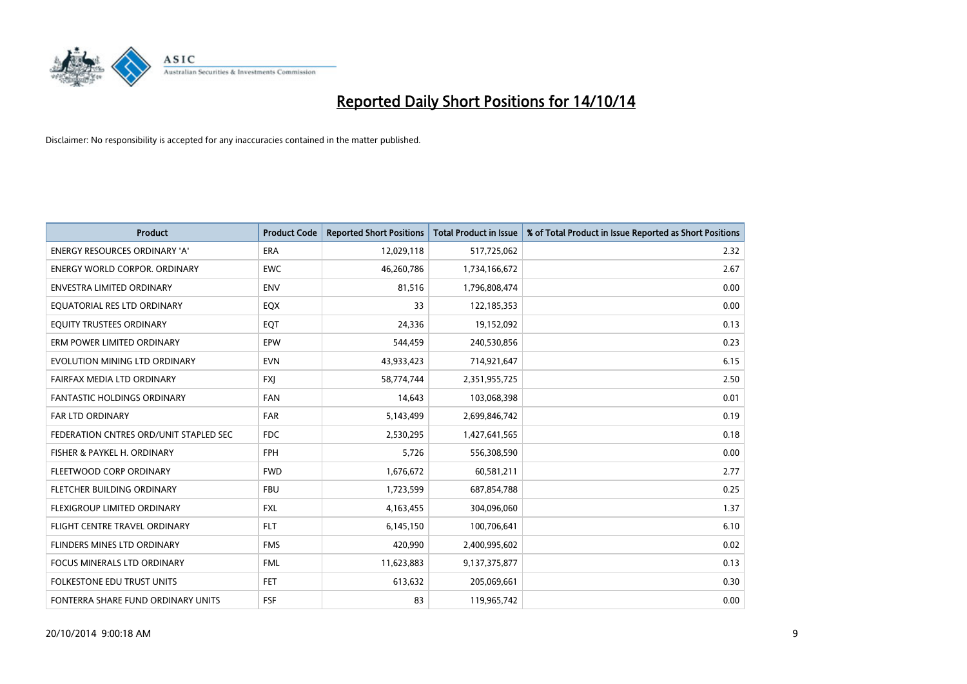

| <b>Product</b>                         | <b>Product Code</b> | <b>Reported Short Positions</b> | <b>Total Product in Issue</b> | % of Total Product in Issue Reported as Short Positions |
|----------------------------------------|---------------------|---------------------------------|-------------------------------|---------------------------------------------------------|
| <b>ENERGY RESOURCES ORDINARY 'A'</b>   | <b>ERA</b>          | 12,029,118                      | 517,725,062                   | 2.32                                                    |
| <b>ENERGY WORLD CORPOR. ORDINARY</b>   | <b>EWC</b>          | 46,260,786                      | 1,734,166,672                 | 2.67                                                    |
| <b>ENVESTRA LIMITED ORDINARY</b>       | <b>ENV</b>          | 81,516                          | 1,796,808,474                 | 0.00                                                    |
| EQUATORIAL RES LTD ORDINARY            | EQX                 | 33                              | 122,185,353                   | 0.00                                                    |
| EQUITY TRUSTEES ORDINARY               | EQT                 | 24,336                          | 19,152,092                    | 0.13                                                    |
| ERM POWER LIMITED ORDINARY             | EPW                 | 544,459                         | 240,530,856                   | 0.23                                                    |
| EVOLUTION MINING LTD ORDINARY          | <b>EVN</b>          | 43,933,423                      | 714,921,647                   | 6.15                                                    |
| FAIRFAX MEDIA LTD ORDINARY             | <b>FXI</b>          | 58,774,744                      | 2,351,955,725                 | 2.50                                                    |
| <b>FANTASTIC HOLDINGS ORDINARY</b>     | <b>FAN</b>          | 14,643                          | 103,068,398                   | 0.01                                                    |
| <b>FAR LTD ORDINARY</b>                | <b>FAR</b>          | 5,143,499                       | 2,699,846,742                 | 0.19                                                    |
| FEDERATION CNTRES ORD/UNIT STAPLED SEC | <b>FDC</b>          | 2,530,295                       | 1,427,641,565                 | 0.18                                                    |
| FISHER & PAYKEL H. ORDINARY            | <b>FPH</b>          | 5,726                           | 556,308,590                   | 0.00                                                    |
| FLEETWOOD CORP ORDINARY                | <b>FWD</b>          | 1,676,672                       | 60,581,211                    | 2.77                                                    |
| FLETCHER BUILDING ORDINARY             | <b>FBU</b>          | 1,723,599                       | 687,854,788                   | 0.25                                                    |
| FLEXIGROUP LIMITED ORDINARY            | <b>FXL</b>          | 4,163,455                       | 304,096,060                   | 1.37                                                    |
| FLIGHT CENTRE TRAVEL ORDINARY          | <b>FLT</b>          | 6,145,150                       | 100,706,641                   | 6.10                                                    |
| FLINDERS MINES LTD ORDINARY            | <b>FMS</b>          | 420,990                         | 2,400,995,602                 | 0.02                                                    |
| FOCUS MINERALS LTD ORDINARY            | <b>FML</b>          | 11,623,883                      | 9,137,375,877                 | 0.13                                                    |
| <b>FOLKESTONE EDU TRUST UNITS</b>      | <b>FET</b>          | 613,632                         | 205,069,661                   | 0.30                                                    |
| FONTERRA SHARE FUND ORDINARY UNITS     | <b>FSF</b>          | 83                              | 119,965,742                   | 0.00                                                    |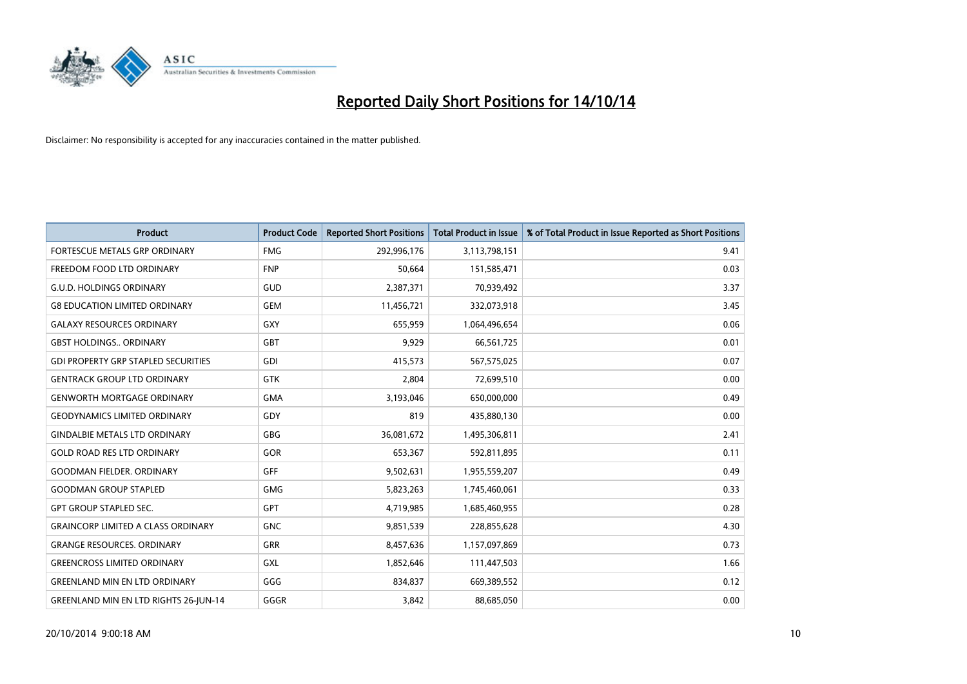

| <b>Product</b>                               | <b>Product Code</b> | <b>Reported Short Positions</b> | <b>Total Product in Issue</b> | % of Total Product in Issue Reported as Short Positions |
|----------------------------------------------|---------------------|---------------------------------|-------------------------------|---------------------------------------------------------|
| <b>FORTESCUE METALS GRP ORDINARY</b>         | <b>FMG</b>          | 292,996,176                     | 3,113,798,151                 | 9.41                                                    |
| FREEDOM FOOD LTD ORDINARY                    | <b>FNP</b>          | 50,664                          | 151,585,471                   | 0.03                                                    |
| <b>G.U.D. HOLDINGS ORDINARY</b>              | GUD                 | 2,387,371                       | 70,939,492                    | 3.37                                                    |
| <b>G8 EDUCATION LIMITED ORDINARY</b>         | <b>GEM</b>          | 11,456,721                      | 332,073,918                   | 3.45                                                    |
| <b>GALAXY RESOURCES ORDINARY</b>             | GXY                 | 655,959                         | 1,064,496,654                 | 0.06                                                    |
| <b>GBST HOLDINGS ORDINARY</b>                | <b>GBT</b>          | 9,929                           | 66,561,725                    | 0.01                                                    |
| <b>GDI PROPERTY GRP STAPLED SECURITIES</b>   | GDI                 | 415,573                         | 567,575,025                   | 0.07                                                    |
| <b>GENTRACK GROUP LTD ORDINARY</b>           | GTK                 | 2,804                           | 72,699,510                    | 0.00                                                    |
| <b>GENWORTH MORTGAGE ORDINARY</b>            | <b>GMA</b>          | 3,193,046                       | 650,000,000                   | 0.49                                                    |
| <b>GEODYNAMICS LIMITED ORDINARY</b>          | GDY                 | 819                             | 435,880,130                   | 0.00                                                    |
| <b>GINDALBIE METALS LTD ORDINARY</b>         | <b>GBG</b>          | 36,081,672                      | 1,495,306,811                 | 2.41                                                    |
| <b>GOLD ROAD RES LTD ORDINARY</b>            | GOR                 | 653,367                         | 592,811,895                   | 0.11                                                    |
| <b>GOODMAN FIELDER, ORDINARY</b>             | <b>GFF</b>          | 9,502,631                       | 1,955,559,207                 | 0.49                                                    |
| <b>GOODMAN GROUP STAPLED</b>                 | <b>GMG</b>          | 5,823,263                       | 1,745,460,061                 | 0.33                                                    |
| <b>GPT GROUP STAPLED SEC.</b>                | GPT                 | 4,719,985                       | 1,685,460,955                 | 0.28                                                    |
| <b>GRAINCORP LIMITED A CLASS ORDINARY</b>    | <b>GNC</b>          | 9,851,539                       | 228,855,628                   | 4.30                                                    |
| <b>GRANGE RESOURCES. ORDINARY</b>            | GRR                 | 8,457,636                       | 1,157,097,869                 | 0.73                                                    |
| <b>GREENCROSS LIMITED ORDINARY</b>           | GXL                 | 1,852,646                       | 111,447,503                   | 1.66                                                    |
| <b>GREENLAND MIN EN LTD ORDINARY</b>         | GGG                 | 834,837                         | 669,389,552                   | 0.12                                                    |
| <b>GREENLAND MIN EN LTD RIGHTS 26-JUN-14</b> | GGGR                | 3,842                           | 88,685,050                    | 0.00                                                    |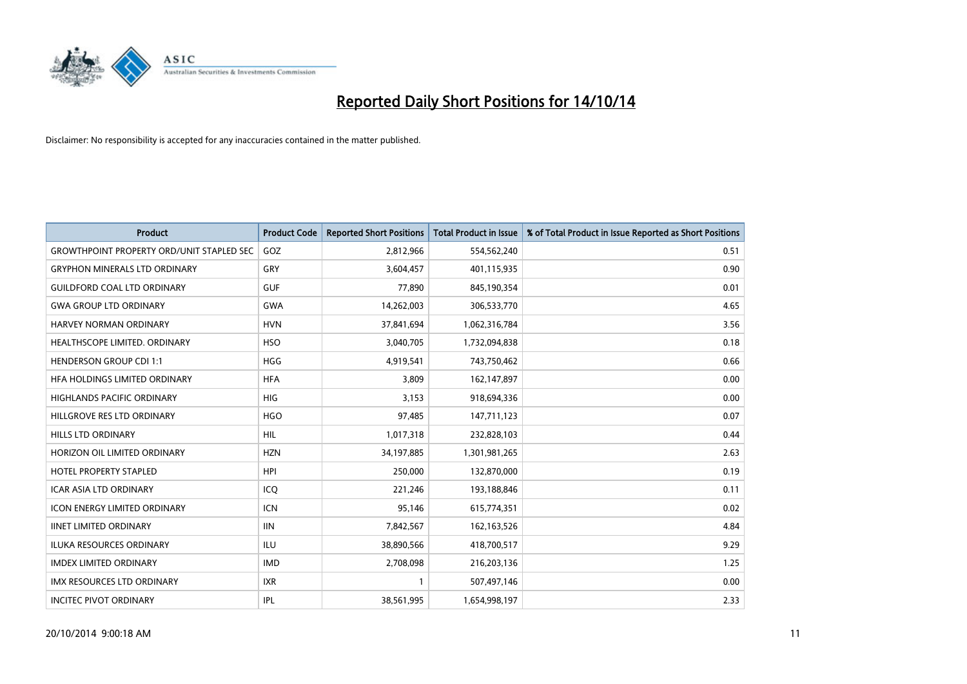

| <b>Product</b>                                   | <b>Product Code</b> | <b>Reported Short Positions</b> | <b>Total Product in Issue</b> | % of Total Product in Issue Reported as Short Positions |
|--------------------------------------------------|---------------------|---------------------------------|-------------------------------|---------------------------------------------------------|
| <b>GROWTHPOINT PROPERTY ORD/UNIT STAPLED SEC</b> | GOZ                 | 2,812,966                       | 554,562,240                   | 0.51                                                    |
| <b>GRYPHON MINERALS LTD ORDINARY</b>             | <b>GRY</b>          | 3,604,457                       | 401,115,935                   | 0.90                                                    |
| <b>GUILDFORD COAL LTD ORDINARY</b>               | <b>GUF</b>          | 77,890                          | 845,190,354                   | 0.01                                                    |
| <b>GWA GROUP LTD ORDINARY</b>                    | <b>GWA</b>          | 14,262,003                      | 306,533,770                   | 4.65                                                    |
| <b>HARVEY NORMAN ORDINARY</b>                    | <b>HVN</b>          | 37,841,694                      | 1,062,316,784                 | 3.56                                                    |
| HEALTHSCOPE LIMITED. ORDINARY                    | <b>HSO</b>          | 3,040,705                       | 1,732,094,838                 | 0.18                                                    |
| <b>HENDERSON GROUP CDI 1:1</b>                   | HGG                 | 4,919,541                       | 743,750,462                   | 0.66                                                    |
| HFA HOLDINGS LIMITED ORDINARY                    | <b>HFA</b>          | 3,809                           | 162,147,897                   | 0.00                                                    |
| <b>HIGHLANDS PACIFIC ORDINARY</b>                | <b>HIG</b>          | 3,153                           | 918,694,336                   | 0.00                                                    |
| HILLGROVE RES LTD ORDINARY                       | <b>HGO</b>          | 97,485                          | 147,711,123                   | 0.07                                                    |
| <b>HILLS LTD ORDINARY</b>                        | <b>HIL</b>          | 1,017,318                       | 232,828,103                   | 0.44                                                    |
| HORIZON OIL LIMITED ORDINARY                     | <b>HZN</b>          | 34,197,885                      | 1,301,981,265                 | 2.63                                                    |
| <b>HOTEL PROPERTY STAPLED</b>                    | <b>HPI</b>          | 250,000                         | 132,870,000                   | 0.19                                                    |
| <b>ICAR ASIA LTD ORDINARY</b>                    | ICO                 | 221,246                         | 193,188,846                   | 0.11                                                    |
| <b>ICON ENERGY LIMITED ORDINARY</b>              | <b>ICN</b>          | 95,146                          | 615,774,351                   | 0.02                                                    |
| <b>IINET LIMITED ORDINARY</b>                    | <b>IIN</b>          | 7,842,567                       | 162,163,526                   | 4.84                                                    |
| ILUKA RESOURCES ORDINARY                         | ILU                 | 38,890,566                      | 418,700,517                   | 9.29                                                    |
| <b>IMDEX LIMITED ORDINARY</b>                    | <b>IMD</b>          | 2,708,098                       | 216,203,136                   | 1.25                                                    |
| <b>IMX RESOURCES LTD ORDINARY</b>                | <b>IXR</b>          | $\mathbf{1}$                    | 507,497,146                   | 0.00                                                    |
| <b>INCITEC PIVOT ORDINARY</b>                    | IPL                 | 38,561,995                      | 1,654,998,197                 | 2.33                                                    |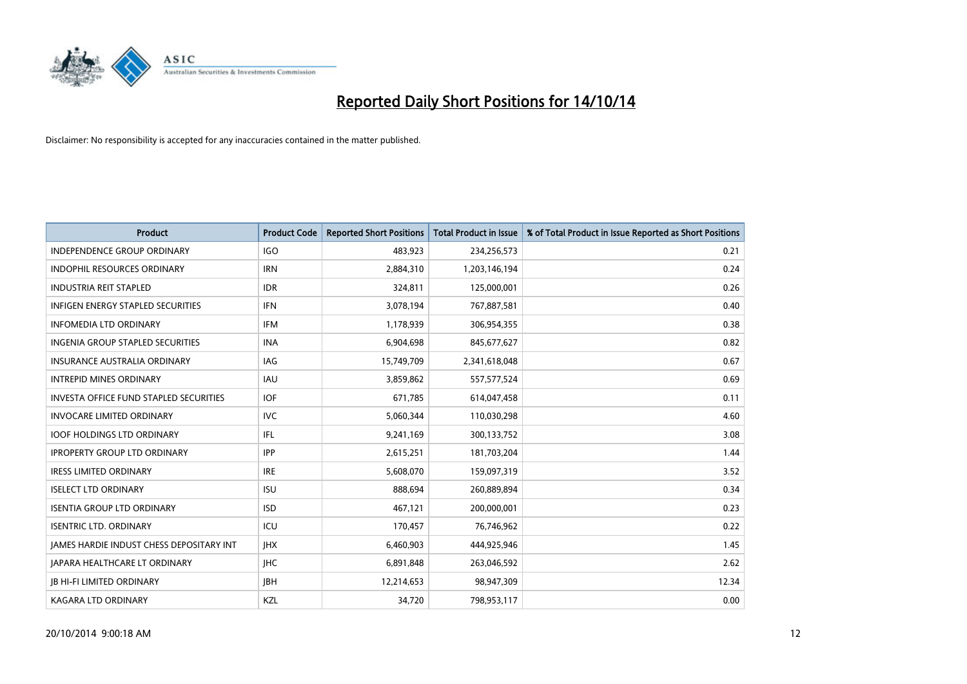

| <b>Product</b>                           | <b>Product Code</b> | <b>Reported Short Positions</b> | <b>Total Product in Issue</b> | % of Total Product in Issue Reported as Short Positions |
|------------------------------------------|---------------------|---------------------------------|-------------------------------|---------------------------------------------------------|
| <b>INDEPENDENCE GROUP ORDINARY</b>       | <b>IGO</b>          | 483,923                         | 234,256,573                   | 0.21                                                    |
| INDOPHIL RESOURCES ORDINARY              | <b>IRN</b>          | 2,884,310                       | 1,203,146,194                 | 0.24                                                    |
| <b>INDUSTRIA REIT STAPLED</b>            | <b>IDR</b>          | 324,811                         | 125,000,001                   | 0.26                                                    |
| INFIGEN ENERGY STAPLED SECURITIES        | <b>IFN</b>          | 3,078,194                       | 767,887,581                   | 0.40                                                    |
| <b>INFOMEDIA LTD ORDINARY</b>            | <b>IFM</b>          | 1,178,939                       | 306,954,355                   | 0.38                                                    |
| INGENIA GROUP STAPLED SECURITIES         | <b>INA</b>          | 6,904,698                       | 845,677,627                   | 0.82                                                    |
| <b>INSURANCE AUSTRALIA ORDINARY</b>      | IAG                 | 15,749,709                      | 2,341,618,048                 | 0.67                                                    |
| <b>INTREPID MINES ORDINARY</b>           | <b>IAU</b>          | 3,859,862                       | 557,577,524                   | 0.69                                                    |
| INVESTA OFFICE FUND STAPLED SECURITIES   | <b>IOF</b>          | 671,785                         | 614,047,458                   | 0.11                                                    |
| <b>INVOCARE LIMITED ORDINARY</b>         | <b>IVC</b>          | 5,060,344                       | 110,030,298                   | 4.60                                                    |
| <b>IOOF HOLDINGS LTD ORDINARY</b>        | IFL                 | 9,241,169                       | 300,133,752                   | 3.08                                                    |
| <b>IPROPERTY GROUP LTD ORDINARY</b>      | <b>IPP</b>          | 2,615,251                       | 181,703,204                   | 1.44                                                    |
| <b>IRESS LIMITED ORDINARY</b>            | <b>IRE</b>          | 5,608,070                       | 159,097,319                   | 3.52                                                    |
| <b>ISELECT LTD ORDINARY</b>              | <b>ISU</b>          | 888,694                         | 260,889,894                   | 0.34                                                    |
| <b>ISENTIA GROUP LTD ORDINARY</b>        | <b>ISD</b>          | 467,121                         | 200,000,001                   | 0.23                                                    |
| <b>ISENTRIC LTD. ORDINARY</b>            | ICU                 | 170,457                         | 76,746,962                    | 0.22                                                    |
| JAMES HARDIE INDUST CHESS DEPOSITARY INT | <b>IHX</b>          | 6,460,903                       | 444,925,946                   | 1.45                                                    |
| JAPARA HEALTHCARE LT ORDINARY            | <b>IHC</b>          | 6,891,848                       | 263,046,592                   | 2.62                                                    |
| <b>IB HI-FI LIMITED ORDINARY</b>         | <b>JBH</b>          | 12,214,653                      | 98,947,309                    | 12.34                                                   |
| <b>KAGARA LTD ORDINARY</b>               | KZL                 | 34,720                          | 798,953,117                   | 0.00                                                    |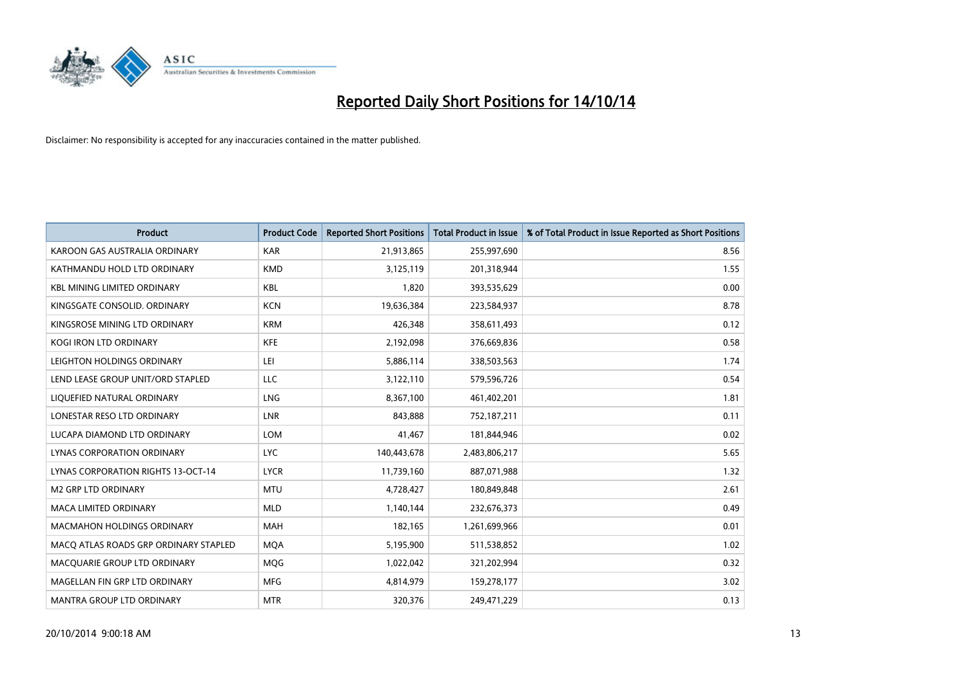

| <b>Product</b>                            | <b>Product Code</b> | <b>Reported Short Positions</b> | <b>Total Product in Issue</b> | % of Total Product in Issue Reported as Short Positions |
|-------------------------------------------|---------------------|---------------------------------|-------------------------------|---------------------------------------------------------|
| KAROON GAS AUSTRALIA ORDINARY             | <b>KAR</b>          | 21,913,865                      | 255,997,690                   | 8.56                                                    |
| KATHMANDU HOLD LTD ORDINARY               | <b>KMD</b>          | 3,125,119                       | 201,318,944                   | 1.55                                                    |
| <b>KBL MINING LIMITED ORDINARY</b>        | <b>KBL</b>          | 1,820                           | 393,535,629                   | 0.00                                                    |
| KINGSGATE CONSOLID. ORDINARY              | <b>KCN</b>          | 19,636,384                      | 223,584,937                   | 8.78                                                    |
| KINGSROSE MINING LTD ORDINARY             | <b>KRM</b>          | 426,348                         | 358,611,493                   | 0.12                                                    |
| <b>KOGI IRON LTD ORDINARY</b>             | <b>KFE</b>          | 2,192,098                       | 376,669,836                   | 0.58                                                    |
| LEIGHTON HOLDINGS ORDINARY                | LEI                 | 5,886,114                       | 338,503,563                   | 1.74                                                    |
| LEND LEASE GROUP UNIT/ORD STAPLED         | LLC                 | 3,122,110                       | 579,596,726                   | 0.54                                                    |
| LIQUEFIED NATURAL ORDINARY                | LNG                 | 8,367,100                       | 461,402,201                   | 1.81                                                    |
| LONESTAR RESO LTD ORDINARY                | LNR                 | 843,888                         | 752,187,211                   | 0.11                                                    |
| LUCAPA DIAMOND LTD ORDINARY               | LOM                 | 41,467                          | 181,844,946                   | 0.02                                                    |
| <b>LYNAS CORPORATION ORDINARY</b>         | <b>LYC</b>          | 140,443,678                     | 2,483,806,217                 | 5.65                                                    |
| <b>LYNAS CORPORATION RIGHTS 13-OCT-14</b> | <b>LYCR</b>         | 11,739,160                      | 887,071,988                   | 1.32                                                    |
| <b>M2 GRP LTD ORDINARY</b>                | <b>MTU</b>          | 4,728,427                       | 180,849,848                   | 2.61                                                    |
| <b>MACA LIMITED ORDINARY</b>              | <b>MLD</b>          | 1,140,144                       | 232,676,373                   | 0.49                                                    |
| MACMAHON HOLDINGS ORDINARY                | MAH                 | 182,165                         | 1,261,699,966                 | 0.01                                                    |
| MACO ATLAS ROADS GRP ORDINARY STAPLED     | <b>MQA</b>          | 5,195,900                       | 511,538,852                   | 1.02                                                    |
| MACQUARIE GROUP LTD ORDINARY              | <b>MQG</b>          | 1,022,042                       | 321,202,994                   | 0.32                                                    |
| MAGELLAN FIN GRP LTD ORDINARY             | <b>MFG</b>          | 4,814,979                       | 159,278,177                   | 3.02                                                    |
| MANTRA GROUP LTD ORDINARY                 | <b>MTR</b>          | 320,376                         | 249,471,229                   | 0.13                                                    |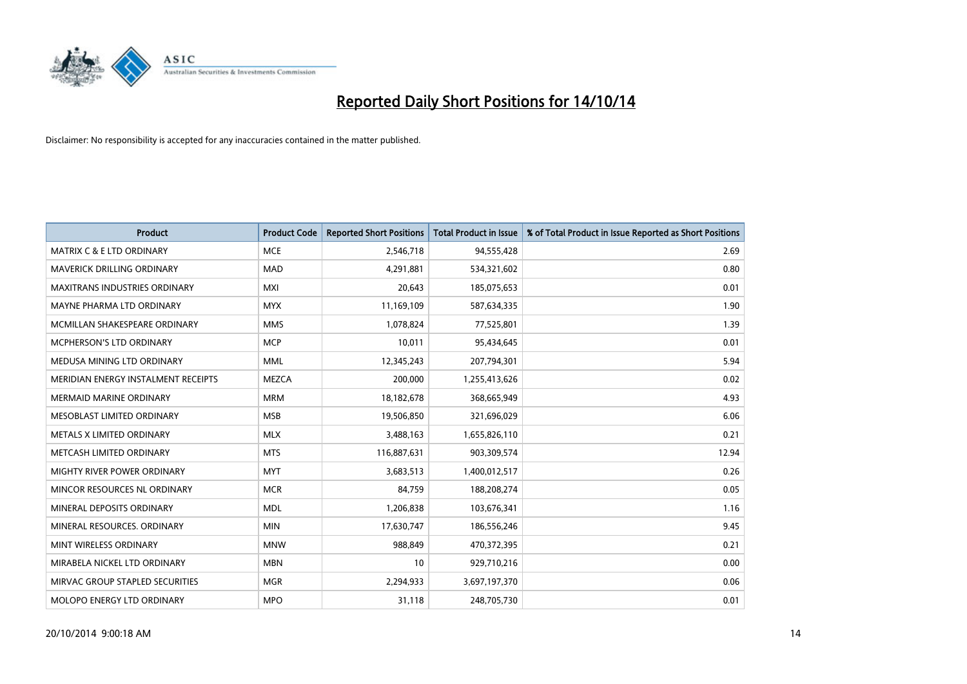

| <b>Product</b>                       | <b>Product Code</b> | <b>Reported Short Positions</b> | <b>Total Product in Issue</b> | % of Total Product in Issue Reported as Short Positions |
|--------------------------------------|---------------------|---------------------------------|-------------------------------|---------------------------------------------------------|
| MATRIX C & E LTD ORDINARY            | <b>MCE</b>          | 2,546,718                       | 94,555,428                    | 2.69                                                    |
| <b>MAVERICK DRILLING ORDINARY</b>    | <b>MAD</b>          | 4,291,881                       | 534,321,602                   | 0.80                                                    |
| <b>MAXITRANS INDUSTRIES ORDINARY</b> | <b>MXI</b>          | 20,643                          | 185,075,653                   | 0.01                                                    |
| MAYNE PHARMA LTD ORDINARY            | <b>MYX</b>          | 11,169,109                      | 587,634,335                   | 1.90                                                    |
| MCMILLAN SHAKESPEARE ORDINARY        | <b>MMS</b>          | 1,078,824                       | 77,525,801                    | 1.39                                                    |
| <b>MCPHERSON'S LTD ORDINARY</b>      | <b>MCP</b>          | 10,011                          | 95,434,645                    | 0.01                                                    |
| MEDUSA MINING LTD ORDINARY           | MML                 | 12,345,243                      | 207,794,301                   | 5.94                                                    |
| MERIDIAN ENERGY INSTALMENT RECEIPTS  | <b>MEZCA</b>        | 200,000                         | 1,255,413,626                 | 0.02                                                    |
| <b>MERMAID MARINE ORDINARY</b>       | <b>MRM</b>          | 18,182,678                      | 368,665,949                   | 4.93                                                    |
| MESOBLAST LIMITED ORDINARY           | <b>MSB</b>          | 19,506,850                      | 321,696,029                   | 6.06                                                    |
| METALS X LIMITED ORDINARY            | <b>MLX</b>          | 3,488,163                       | 1,655,826,110                 | 0.21                                                    |
| METCASH LIMITED ORDINARY             | <b>MTS</b>          | 116,887,631                     | 903,309,574                   | 12.94                                                   |
| MIGHTY RIVER POWER ORDINARY          | <b>MYT</b>          | 3,683,513                       | 1,400,012,517                 | 0.26                                                    |
| MINCOR RESOURCES NL ORDINARY         | <b>MCR</b>          | 84,759                          | 188,208,274                   | 0.05                                                    |
| MINERAL DEPOSITS ORDINARY            | <b>MDL</b>          | 1,206,838                       | 103,676,341                   | 1.16                                                    |
| MINERAL RESOURCES, ORDINARY          | <b>MIN</b>          | 17,630,747                      | 186,556,246                   | 9.45                                                    |
| MINT WIRELESS ORDINARY               | <b>MNW</b>          | 988,849                         | 470,372,395                   | 0.21                                                    |
| MIRABELA NICKEL LTD ORDINARY         | <b>MBN</b>          | 10                              | 929,710,216                   | 0.00                                                    |
| MIRVAC GROUP STAPLED SECURITIES      | <b>MGR</b>          | 2,294,933                       | 3,697,197,370                 | 0.06                                                    |
| MOLOPO ENERGY LTD ORDINARY           | <b>MPO</b>          | 31,118                          | 248,705,730                   | 0.01                                                    |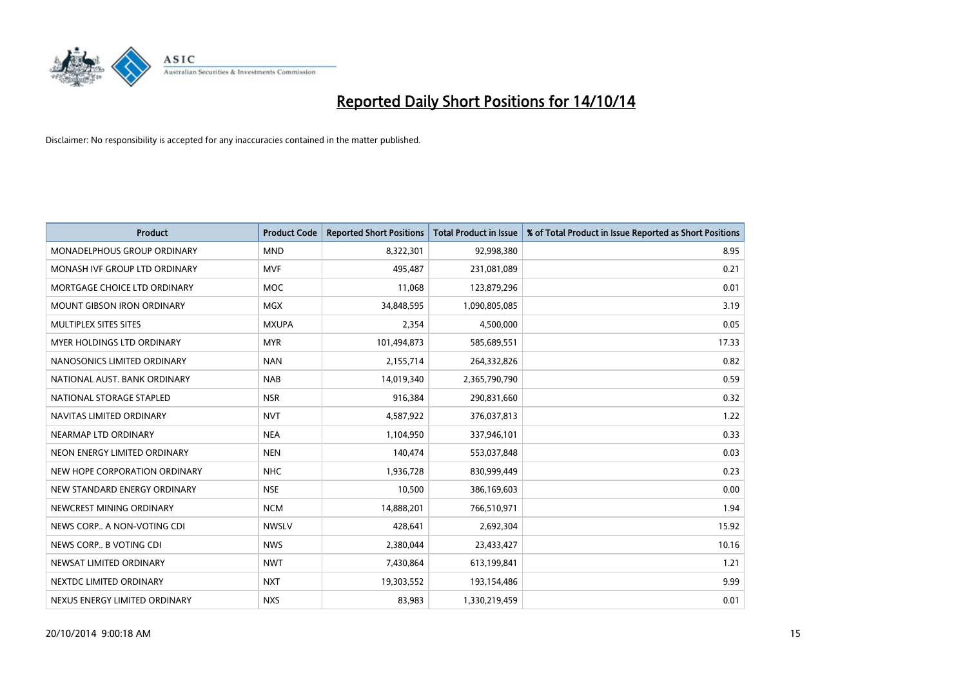

| <b>Product</b>                    | <b>Product Code</b> | <b>Reported Short Positions</b> | <b>Total Product in Issue</b> | % of Total Product in Issue Reported as Short Positions |
|-----------------------------------|---------------------|---------------------------------|-------------------------------|---------------------------------------------------------|
| MONADELPHOUS GROUP ORDINARY       | <b>MND</b>          | 8,322,301                       | 92,998,380                    | 8.95                                                    |
| MONASH IVF GROUP LTD ORDINARY     | <b>MVF</b>          | 495,487                         | 231,081,089                   | 0.21                                                    |
| MORTGAGE CHOICE LTD ORDINARY      | <b>MOC</b>          | 11,068                          | 123,879,296                   | 0.01                                                    |
| <b>MOUNT GIBSON IRON ORDINARY</b> | <b>MGX</b>          | 34,848,595                      | 1,090,805,085                 | 3.19                                                    |
| MULTIPLEX SITES SITES             | <b>MXUPA</b>        | 2,354                           | 4,500,000                     | 0.05                                                    |
| MYER HOLDINGS LTD ORDINARY        | <b>MYR</b>          | 101,494,873                     | 585,689,551                   | 17.33                                                   |
| NANOSONICS LIMITED ORDINARY       | <b>NAN</b>          | 2,155,714                       | 264,332,826                   | 0.82                                                    |
| NATIONAL AUST, BANK ORDINARY      | <b>NAB</b>          | 14,019,340                      | 2,365,790,790                 | 0.59                                                    |
| NATIONAL STORAGE STAPLED          | <b>NSR</b>          | 916,384                         | 290,831,660                   | 0.32                                                    |
| NAVITAS LIMITED ORDINARY          | <b>NVT</b>          | 4,587,922                       | 376,037,813                   | 1.22                                                    |
| NEARMAP LTD ORDINARY              | <b>NEA</b>          | 1,104,950                       | 337,946,101                   | 0.33                                                    |
| NEON ENERGY LIMITED ORDINARY      | <b>NEN</b>          | 140,474                         | 553,037,848                   | 0.03                                                    |
| NEW HOPE CORPORATION ORDINARY     | <b>NHC</b>          | 1,936,728                       | 830,999,449                   | 0.23                                                    |
| NEW STANDARD ENERGY ORDINARY      | <b>NSE</b>          | 10,500                          | 386,169,603                   | 0.00                                                    |
| NEWCREST MINING ORDINARY          | <b>NCM</b>          | 14,888,201                      | 766,510,971                   | 1.94                                                    |
| NEWS CORP A NON-VOTING CDI        | <b>NWSLV</b>        | 428,641                         | 2,692,304                     | 15.92                                                   |
| NEWS CORP B VOTING CDI            | <b>NWS</b>          | 2,380,044                       | 23,433,427                    | 10.16                                                   |
| NEWSAT LIMITED ORDINARY           | <b>NWT</b>          | 7,430,864                       | 613,199,841                   | 1.21                                                    |
| NEXTDC LIMITED ORDINARY           | <b>NXT</b>          | 19,303,552                      | 193,154,486                   | 9.99                                                    |
| NEXUS ENERGY LIMITED ORDINARY     | <b>NXS</b>          | 83,983                          | 1,330,219,459                 | 0.01                                                    |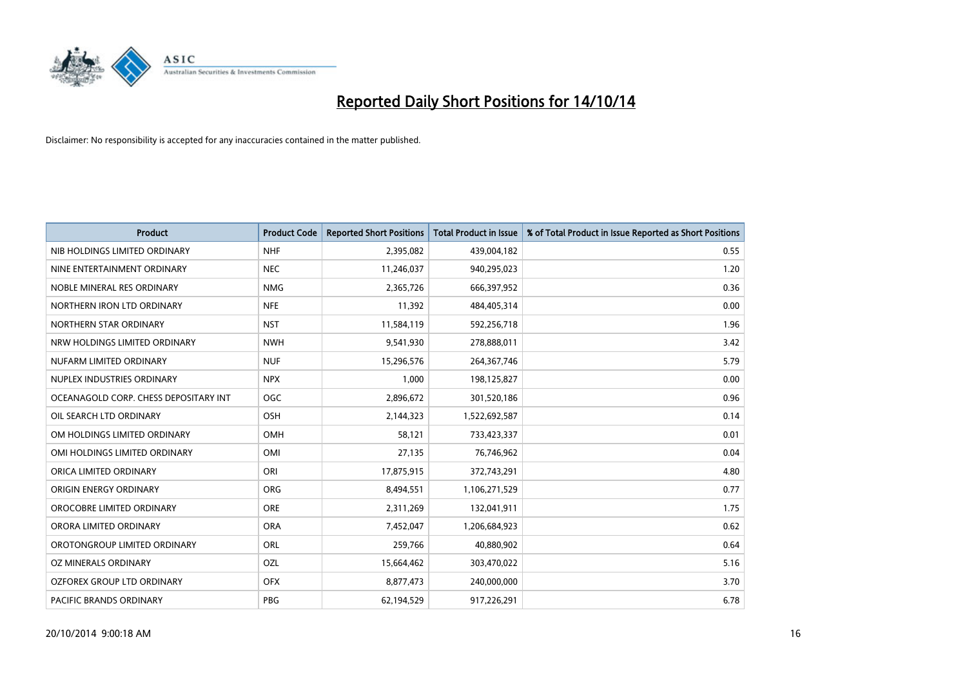

| <b>Product</b>                        | <b>Product Code</b> | <b>Reported Short Positions</b> | <b>Total Product in Issue</b> | % of Total Product in Issue Reported as Short Positions |
|---------------------------------------|---------------------|---------------------------------|-------------------------------|---------------------------------------------------------|
| NIB HOLDINGS LIMITED ORDINARY         | <b>NHF</b>          | 2,395,082                       | 439,004,182                   | 0.55                                                    |
| NINE ENTERTAINMENT ORDINARY           | <b>NEC</b>          | 11,246,037                      | 940,295,023                   | 1.20                                                    |
| NOBLE MINERAL RES ORDINARY            | <b>NMG</b>          | 2,365,726                       | 666,397,952                   | 0.36                                                    |
| NORTHERN IRON LTD ORDINARY            | <b>NFE</b>          | 11,392                          | 484,405,314                   | 0.00                                                    |
| NORTHERN STAR ORDINARY                | <b>NST</b>          | 11,584,119                      | 592,256,718                   | 1.96                                                    |
| NRW HOLDINGS LIMITED ORDINARY         | <b>NWH</b>          | 9,541,930                       | 278,888,011                   | 3.42                                                    |
| NUFARM LIMITED ORDINARY               | <b>NUF</b>          | 15,296,576                      | 264,367,746                   | 5.79                                                    |
| NUPLEX INDUSTRIES ORDINARY            | <b>NPX</b>          | 1,000                           | 198,125,827                   | 0.00                                                    |
| OCEANAGOLD CORP. CHESS DEPOSITARY INT | <b>OGC</b>          | 2,896,672                       | 301,520,186                   | 0.96                                                    |
| OIL SEARCH LTD ORDINARY               | OSH                 | 2,144,323                       | 1,522,692,587                 | 0.14                                                    |
| OM HOLDINGS LIMITED ORDINARY          | OMH                 | 58,121                          | 733,423,337                   | 0.01                                                    |
| OMI HOLDINGS LIMITED ORDINARY         | OMI                 | 27,135                          | 76,746,962                    | 0.04                                                    |
| ORICA LIMITED ORDINARY                | ORI                 | 17,875,915                      | 372,743,291                   | 4.80                                                    |
| ORIGIN ENERGY ORDINARY                | <b>ORG</b>          | 8,494,551                       | 1,106,271,529                 | 0.77                                                    |
| OROCOBRE LIMITED ORDINARY             | <b>ORE</b>          | 2,311,269                       | 132,041,911                   | 1.75                                                    |
| ORORA LIMITED ORDINARY                | <b>ORA</b>          | 7,452,047                       | 1,206,684,923                 | 0.62                                                    |
| OROTONGROUP LIMITED ORDINARY          | ORL                 | 259,766                         | 40,880,902                    | 0.64                                                    |
| OZ MINERALS ORDINARY                  | OZL                 | 15,664,462                      | 303,470,022                   | 5.16                                                    |
| OZFOREX GROUP LTD ORDINARY            | <b>OFX</b>          | 8,877,473                       | 240,000,000                   | 3.70                                                    |
| <b>PACIFIC BRANDS ORDINARY</b>        | <b>PBG</b>          | 62,194,529                      | 917,226,291                   | 6.78                                                    |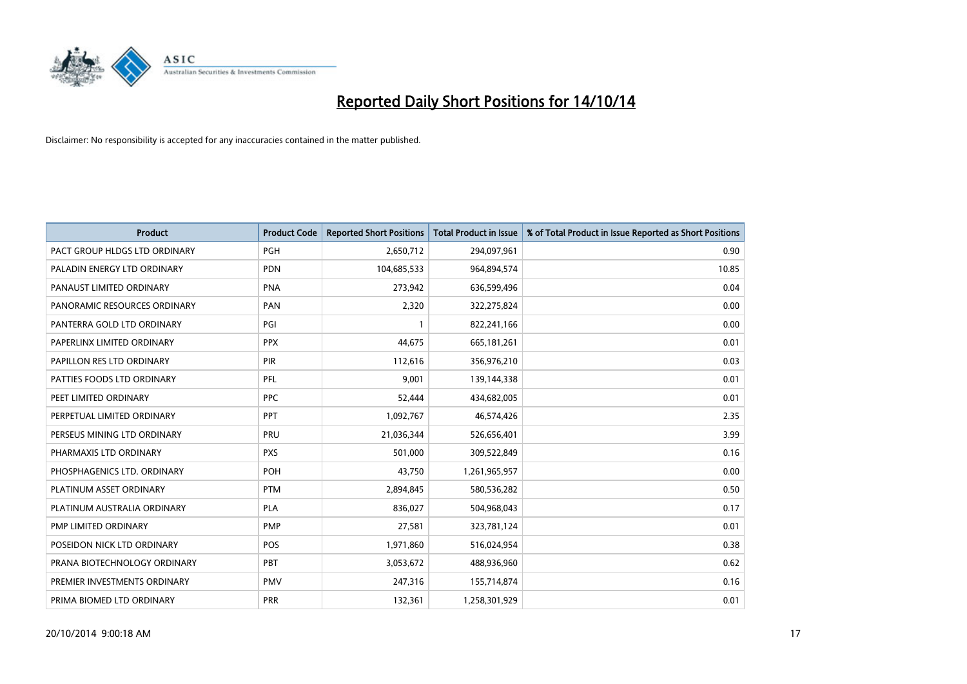

| <b>Product</b>                | <b>Product Code</b> | <b>Reported Short Positions</b> | <b>Total Product in Issue</b> | % of Total Product in Issue Reported as Short Positions |
|-------------------------------|---------------------|---------------------------------|-------------------------------|---------------------------------------------------------|
| PACT GROUP HLDGS LTD ORDINARY | <b>PGH</b>          | 2,650,712                       | 294,097,961                   | 0.90                                                    |
| PALADIN ENERGY LTD ORDINARY   | <b>PDN</b>          | 104,685,533                     | 964,894,574                   | 10.85                                                   |
| PANAUST LIMITED ORDINARY      | <b>PNA</b>          | 273,942                         | 636,599,496                   | 0.04                                                    |
| PANORAMIC RESOURCES ORDINARY  | PAN                 | 2,320                           | 322,275,824                   | 0.00                                                    |
| PANTERRA GOLD LTD ORDINARY    | PGI                 | $\mathbf{1}$                    | 822,241,166                   | 0.00                                                    |
| PAPERLINX LIMITED ORDINARY    | <b>PPX</b>          | 44,675                          | 665, 181, 261                 | 0.01                                                    |
| PAPILLON RES LTD ORDINARY     | PIR                 | 112,616                         | 356,976,210                   | 0.03                                                    |
| PATTIES FOODS LTD ORDINARY    | PFL                 | 9,001                           | 139,144,338                   | 0.01                                                    |
| PEET LIMITED ORDINARY         | <b>PPC</b>          | 52,444                          | 434,682,005                   | 0.01                                                    |
| PERPETUAL LIMITED ORDINARY    | PPT                 | 1,092,767                       | 46,574,426                    | 2.35                                                    |
| PERSEUS MINING LTD ORDINARY   | PRU                 | 21,036,344                      | 526,656,401                   | 3.99                                                    |
| PHARMAXIS LTD ORDINARY        | <b>PXS</b>          | 501,000                         | 309,522,849                   | 0.16                                                    |
| PHOSPHAGENICS LTD. ORDINARY   | POH                 | 43,750                          | 1,261,965,957                 | 0.00                                                    |
| PLATINUM ASSET ORDINARY       | <b>PTM</b>          | 2,894,845                       | 580,536,282                   | 0.50                                                    |
| PLATINUM AUSTRALIA ORDINARY   | <b>PLA</b>          | 836,027                         | 504,968,043                   | 0.17                                                    |
| PMP LIMITED ORDINARY          | <b>PMP</b>          | 27,581                          | 323,781,124                   | 0.01                                                    |
| POSEIDON NICK LTD ORDINARY    | POS                 | 1,971,860                       | 516,024,954                   | 0.38                                                    |
| PRANA BIOTECHNOLOGY ORDINARY  | <b>PBT</b>          | 3,053,672                       | 488,936,960                   | 0.62                                                    |
| PREMIER INVESTMENTS ORDINARY  | <b>PMV</b>          | 247,316                         | 155,714,874                   | 0.16                                                    |
| PRIMA BIOMED LTD ORDINARY     | <b>PRR</b>          | 132,361                         | 1,258,301,929                 | 0.01                                                    |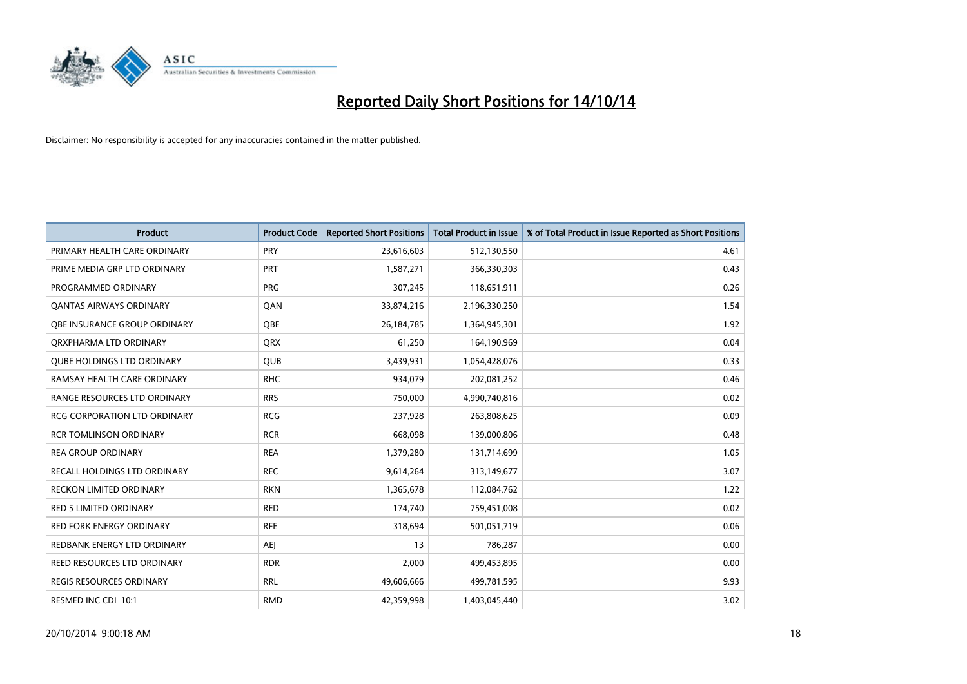

| <b>Product</b>                      | <b>Product Code</b> | <b>Reported Short Positions</b> | <b>Total Product in Issue</b> | % of Total Product in Issue Reported as Short Positions |
|-------------------------------------|---------------------|---------------------------------|-------------------------------|---------------------------------------------------------|
| PRIMARY HEALTH CARE ORDINARY        | <b>PRY</b>          | 23,616,603                      | 512,130,550                   | 4.61                                                    |
| PRIME MEDIA GRP LTD ORDINARY        | PRT                 | 1,587,271                       | 366,330,303                   | 0.43                                                    |
| PROGRAMMED ORDINARY                 | <b>PRG</b>          | 307,245                         | 118,651,911                   | 0.26                                                    |
| <b>QANTAS AIRWAYS ORDINARY</b>      | QAN                 | 33,874,216                      | 2,196,330,250                 | 1.54                                                    |
| OBE INSURANCE GROUP ORDINARY        | <b>OBE</b>          | 26,184,785                      | 1,364,945,301                 | 1.92                                                    |
| ORXPHARMA LTD ORDINARY              | <b>QRX</b>          | 61,250                          | 164,190,969                   | 0.04                                                    |
| <b>QUBE HOLDINGS LTD ORDINARY</b>   | <b>QUB</b>          | 3,439,931                       | 1,054,428,076                 | 0.33                                                    |
| RAMSAY HEALTH CARE ORDINARY         | <b>RHC</b>          | 934,079                         | 202,081,252                   | 0.46                                                    |
| RANGE RESOURCES LTD ORDINARY        | <b>RRS</b>          | 750,000                         | 4,990,740,816                 | 0.02                                                    |
| <b>RCG CORPORATION LTD ORDINARY</b> | <b>RCG</b>          | 237,928                         | 263,808,625                   | 0.09                                                    |
| <b>RCR TOMLINSON ORDINARY</b>       | <b>RCR</b>          | 668,098                         | 139,000,806                   | 0.48                                                    |
| <b>REA GROUP ORDINARY</b>           | <b>REA</b>          | 1,379,280                       | 131,714,699                   | 1.05                                                    |
| RECALL HOLDINGS LTD ORDINARY        | <b>REC</b>          | 9,614,264                       | 313,149,677                   | 3.07                                                    |
| <b>RECKON LIMITED ORDINARY</b>      | <b>RKN</b>          | 1,365,678                       | 112,084,762                   | 1.22                                                    |
| <b>RED 5 LIMITED ORDINARY</b>       | <b>RED</b>          | 174,740                         | 759,451,008                   | 0.02                                                    |
| RED FORK ENERGY ORDINARY            | <b>RFE</b>          | 318,694                         | 501,051,719                   | 0.06                                                    |
| REDBANK ENERGY LTD ORDINARY         | <b>AEJ</b>          | 13                              | 786,287                       | 0.00                                                    |
| REED RESOURCES LTD ORDINARY         | <b>RDR</b>          | 2,000                           | 499,453,895                   | 0.00                                                    |
| <b>REGIS RESOURCES ORDINARY</b>     | <b>RRL</b>          | 49,606,666                      | 499,781,595                   | 9.93                                                    |
| RESMED INC CDI 10:1                 | <b>RMD</b>          | 42,359,998                      | 1,403,045,440                 | 3.02                                                    |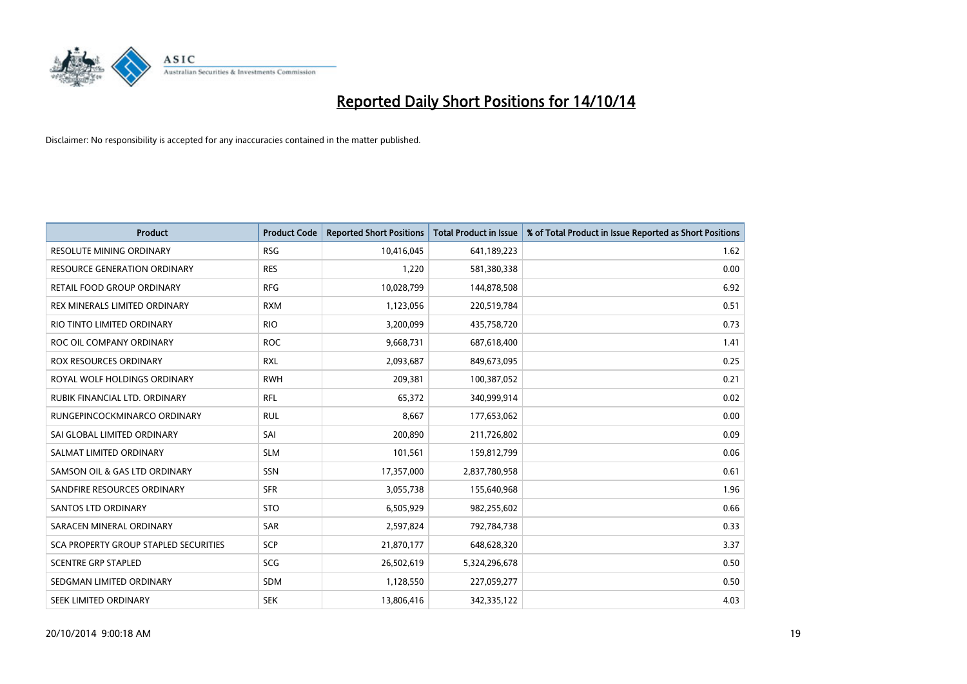

| <b>Product</b>                        | <b>Product Code</b> | <b>Reported Short Positions</b> | <b>Total Product in Issue</b> | % of Total Product in Issue Reported as Short Positions |
|---------------------------------------|---------------------|---------------------------------|-------------------------------|---------------------------------------------------------|
| <b>RESOLUTE MINING ORDINARY</b>       | <b>RSG</b>          | 10,416,045                      | 641,189,223                   | 1.62                                                    |
| RESOURCE GENERATION ORDINARY          | <b>RES</b>          | 1,220                           | 581,380,338                   | 0.00                                                    |
| RETAIL FOOD GROUP ORDINARY            | <b>RFG</b>          | 10,028,799                      | 144,878,508                   | 6.92                                                    |
| REX MINERALS LIMITED ORDINARY         | <b>RXM</b>          | 1,123,056                       | 220,519,784                   | 0.51                                                    |
| RIO TINTO LIMITED ORDINARY            | <b>RIO</b>          | 3,200,099                       | 435,758,720                   | 0.73                                                    |
| ROC OIL COMPANY ORDINARY              | <b>ROC</b>          | 9,668,731                       | 687,618,400                   | 1.41                                                    |
| ROX RESOURCES ORDINARY                | <b>RXL</b>          | 2,093,687                       | 849,673,095                   | 0.25                                                    |
| ROYAL WOLF HOLDINGS ORDINARY          | <b>RWH</b>          | 209,381                         | 100,387,052                   | 0.21                                                    |
| RUBIK FINANCIAL LTD. ORDINARY         | <b>RFL</b>          | 65,372                          | 340,999,914                   | 0.02                                                    |
| RUNGEPINCOCKMINARCO ORDINARY          | <b>RUL</b>          | 8,667                           | 177,653,062                   | 0.00                                                    |
| SAI GLOBAL LIMITED ORDINARY           | SAI                 | 200,890                         | 211,726,802                   | 0.09                                                    |
| SALMAT LIMITED ORDINARY               | <b>SLM</b>          | 101,561                         | 159,812,799                   | 0.06                                                    |
| SAMSON OIL & GAS LTD ORDINARY         | SSN                 | 17,357,000                      | 2,837,780,958                 | 0.61                                                    |
| SANDFIRE RESOURCES ORDINARY           | <b>SFR</b>          | 3,055,738                       | 155,640,968                   | 1.96                                                    |
| SANTOS LTD ORDINARY                   | <b>STO</b>          | 6,505,929                       | 982,255,602                   | 0.66                                                    |
| SARACEN MINERAL ORDINARY              | SAR                 | 2,597,824                       | 792,784,738                   | 0.33                                                    |
| SCA PROPERTY GROUP STAPLED SECURITIES | SCP                 | 21,870,177                      | 648,628,320                   | 3.37                                                    |
| <b>SCENTRE GRP STAPLED</b>            | <b>SCG</b>          | 26,502,619                      | 5,324,296,678                 | 0.50                                                    |
| SEDGMAN LIMITED ORDINARY              | <b>SDM</b>          | 1,128,550                       | 227,059,277                   | 0.50                                                    |
| SEEK LIMITED ORDINARY                 | <b>SEK</b>          | 13,806,416                      | 342,335,122                   | 4.03                                                    |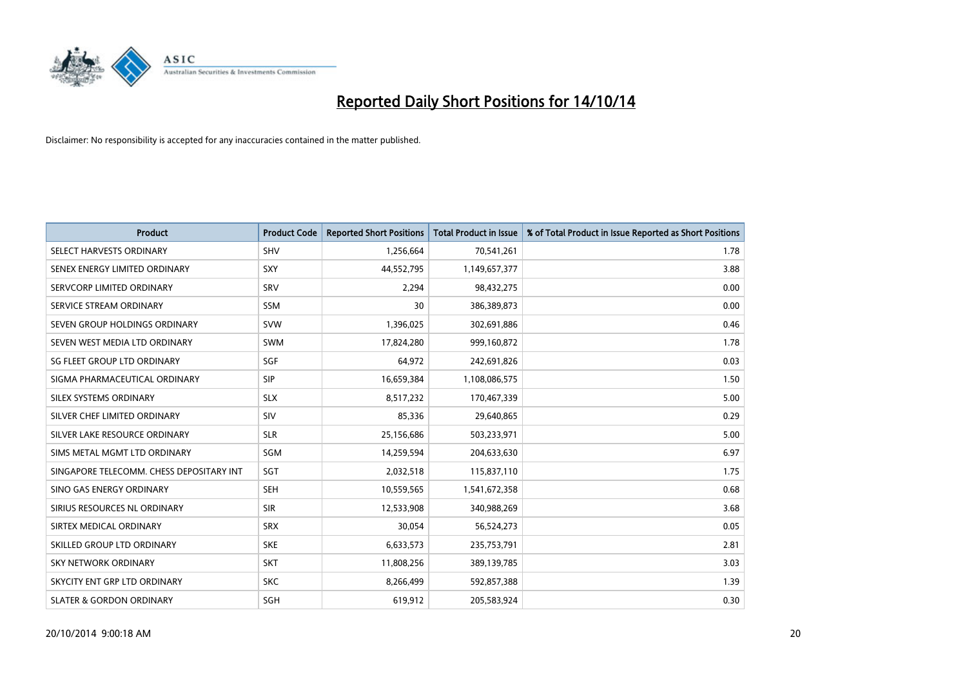

| <b>Product</b>                           | <b>Product Code</b> | <b>Reported Short Positions</b> | <b>Total Product in Issue</b> | % of Total Product in Issue Reported as Short Positions |
|------------------------------------------|---------------------|---------------------------------|-------------------------------|---------------------------------------------------------|
| SELECT HARVESTS ORDINARY                 | SHV                 | 1,256,664                       | 70,541,261                    | 1.78                                                    |
| SENEX ENERGY LIMITED ORDINARY            | <b>SXY</b>          | 44,552,795                      | 1,149,657,377                 | 3.88                                                    |
| SERVCORP LIMITED ORDINARY                | SRV                 | 2,294                           | 98,432,275                    | 0.00                                                    |
| SERVICE STREAM ORDINARY                  | <b>SSM</b>          | 30                              | 386,389,873                   | 0.00                                                    |
| SEVEN GROUP HOLDINGS ORDINARY            | <b>SVW</b>          | 1,396,025                       | 302,691,886                   | 0.46                                                    |
| SEVEN WEST MEDIA LTD ORDINARY            | SWM                 | 17,824,280                      | 999,160,872                   | 1.78                                                    |
| SG FLEET GROUP LTD ORDINARY              | SGF                 | 64,972                          | 242,691,826                   | 0.03                                                    |
| SIGMA PHARMACEUTICAL ORDINARY            | <b>SIP</b>          | 16,659,384                      | 1,108,086,575                 | 1.50                                                    |
| SILEX SYSTEMS ORDINARY                   | <b>SLX</b>          | 8,517,232                       | 170,467,339                   | 5.00                                                    |
| SILVER CHEF LIMITED ORDINARY             | <b>SIV</b>          | 85,336                          | 29,640,865                    | 0.29                                                    |
| SILVER LAKE RESOURCE ORDINARY            | <b>SLR</b>          | 25,156,686                      | 503,233,971                   | 5.00                                                    |
| SIMS METAL MGMT LTD ORDINARY             | SGM                 | 14,259,594                      | 204,633,630                   | 6.97                                                    |
| SINGAPORE TELECOMM. CHESS DEPOSITARY INT | SGT                 | 2,032,518                       | 115,837,110                   | 1.75                                                    |
| SINO GAS ENERGY ORDINARY                 | <b>SEH</b>          | 10,559,565                      | 1,541,672,358                 | 0.68                                                    |
| SIRIUS RESOURCES NL ORDINARY             | <b>SIR</b>          | 12,533,908                      | 340,988,269                   | 3.68                                                    |
| SIRTEX MEDICAL ORDINARY                  | <b>SRX</b>          | 30,054                          | 56,524,273                    | 0.05                                                    |
| SKILLED GROUP LTD ORDINARY               | <b>SKE</b>          | 6,633,573                       | 235,753,791                   | 2.81                                                    |
| <b>SKY NETWORK ORDINARY</b>              | <b>SKT</b>          | 11,808,256                      | 389,139,785                   | 3.03                                                    |
| SKYCITY ENT GRP LTD ORDINARY             | <b>SKC</b>          | 8,266,499                       | 592,857,388                   | 1.39                                                    |
| <b>SLATER &amp; GORDON ORDINARY</b>      | SGH                 | 619,912                         | 205,583,924                   | 0.30                                                    |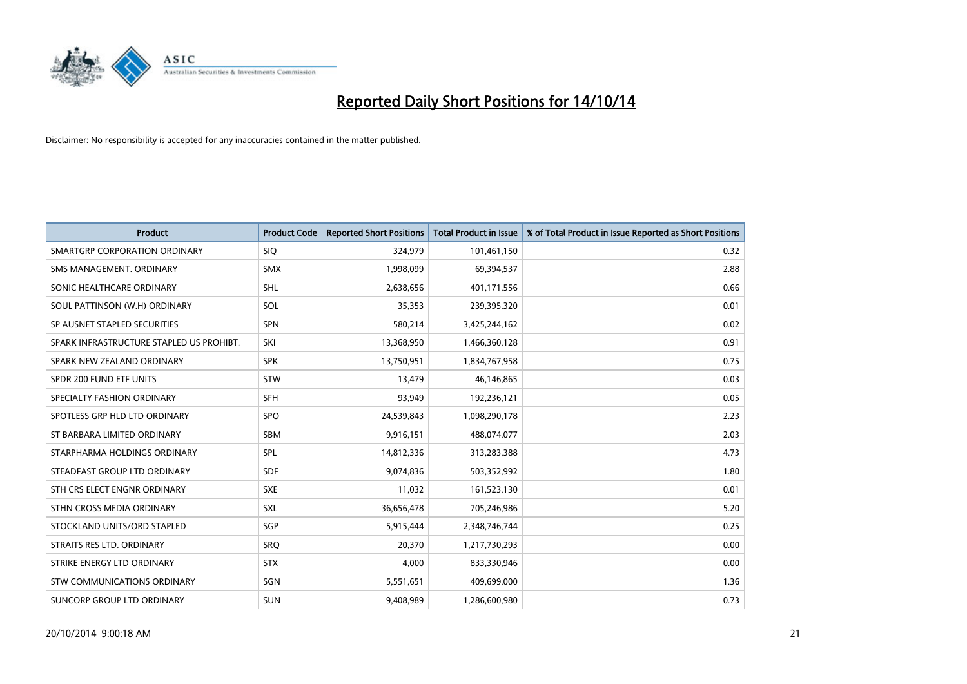

| <b>Product</b>                           | <b>Product Code</b> | <b>Reported Short Positions</b> | <b>Total Product in Issue</b> | % of Total Product in Issue Reported as Short Positions |
|------------------------------------------|---------------------|---------------------------------|-------------------------------|---------------------------------------------------------|
| SMARTGRP CORPORATION ORDINARY            | <b>SIQ</b>          | 324,979                         | 101,461,150                   | 0.32                                                    |
| SMS MANAGEMENT, ORDINARY                 | <b>SMX</b>          | 1,998,099                       | 69,394,537                    | 2.88                                                    |
| SONIC HEALTHCARE ORDINARY                | SHL                 | 2,638,656                       | 401,171,556                   | 0.66                                                    |
| SOUL PATTINSON (W.H) ORDINARY            | SOL                 | 35,353                          | 239,395,320                   | 0.01                                                    |
| SP AUSNET STAPLED SECURITIES             | SPN                 | 580,214                         | 3,425,244,162                 | 0.02                                                    |
| SPARK INFRASTRUCTURE STAPLED US PROHIBT. | SKI                 | 13,368,950                      | 1,466,360,128                 | 0.91                                                    |
| SPARK NEW ZEALAND ORDINARY               | <b>SPK</b>          | 13,750,951                      | 1,834,767,958                 | 0.75                                                    |
| SPDR 200 FUND ETF UNITS                  | <b>STW</b>          | 13,479                          | 46,146,865                    | 0.03                                                    |
| SPECIALTY FASHION ORDINARY               | <b>SFH</b>          | 93,949                          | 192,236,121                   | 0.05                                                    |
| SPOTLESS GRP HLD LTD ORDINARY            | <b>SPO</b>          | 24,539,843                      | 1,098,290,178                 | 2.23                                                    |
| ST BARBARA LIMITED ORDINARY              | <b>SBM</b>          | 9,916,151                       | 488,074,077                   | 2.03                                                    |
| STARPHARMA HOLDINGS ORDINARY             | SPL                 | 14,812,336                      | 313,283,388                   | 4.73                                                    |
| STEADFAST GROUP LTD ORDINARY             | <b>SDF</b>          | 9,074,836                       | 503,352,992                   | 1.80                                                    |
| STH CRS ELECT ENGNR ORDINARY             | <b>SXE</b>          | 11,032                          | 161,523,130                   | 0.01                                                    |
| STHN CROSS MEDIA ORDINARY                | SXL                 | 36,656,478                      | 705,246,986                   | 5.20                                                    |
| STOCKLAND UNITS/ORD STAPLED              | SGP                 | 5,915,444                       | 2,348,746,744                 | 0.25                                                    |
| STRAITS RES LTD. ORDINARY                | <b>SRQ</b>          | 20,370                          | 1,217,730,293                 | 0.00                                                    |
| STRIKE ENERGY LTD ORDINARY               | <b>STX</b>          | 4,000                           | 833,330,946                   | 0.00                                                    |
| STW COMMUNICATIONS ORDINARY              | SGN                 | 5,551,651                       | 409,699,000                   | 1.36                                                    |
| SUNCORP GROUP LTD ORDINARY               | <b>SUN</b>          | 9,408,989                       | 1,286,600,980                 | 0.73                                                    |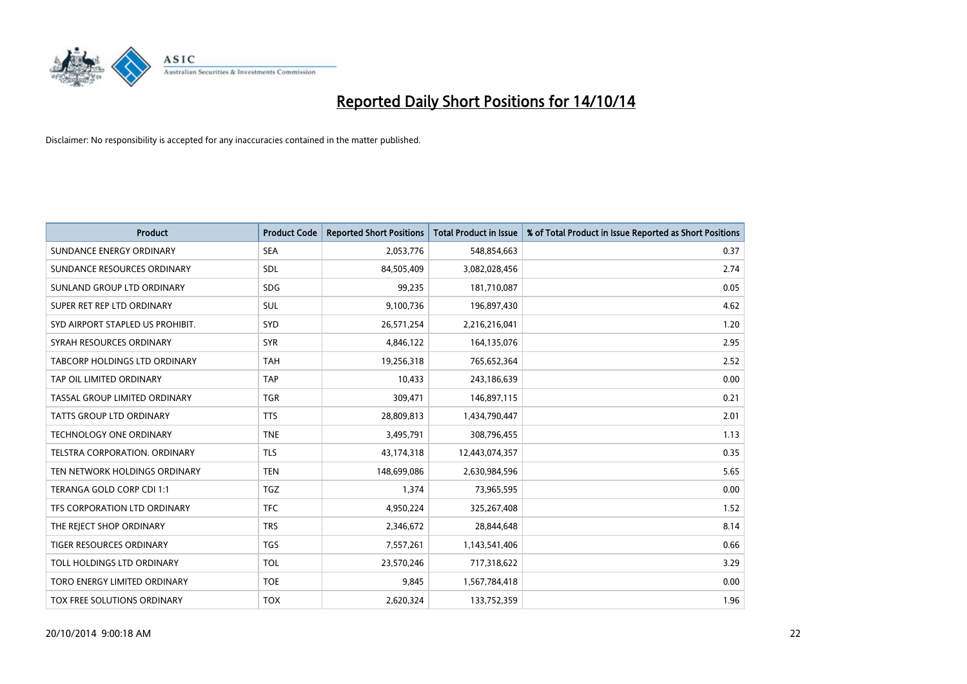

| <b>Product</b>                       | <b>Product Code</b> | <b>Reported Short Positions</b> | <b>Total Product in Issue</b> | % of Total Product in Issue Reported as Short Positions |
|--------------------------------------|---------------------|---------------------------------|-------------------------------|---------------------------------------------------------|
| SUNDANCE ENERGY ORDINARY             | <b>SEA</b>          | 2,053,776                       | 548,854,663                   | 0.37                                                    |
| SUNDANCE RESOURCES ORDINARY          | SDL                 | 84,505,409                      | 3,082,028,456                 | 2.74                                                    |
| SUNLAND GROUP LTD ORDINARY           | <b>SDG</b>          | 99,235                          | 181,710,087                   | 0.05                                                    |
| SUPER RET REP LTD ORDINARY           | SUL                 | 9,100,736                       | 196,897,430                   | 4.62                                                    |
| SYD AIRPORT STAPLED US PROHIBIT.     | SYD                 | 26,571,254                      | 2,216,216,041                 | 1.20                                                    |
| SYRAH RESOURCES ORDINARY             | <b>SYR</b>          | 4,846,122                       | 164,135,076                   | 2.95                                                    |
| TABCORP HOLDINGS LTD ORDINARY        | <b>TAH</b>          | 19,256,318                      | 765,652,364                   | 2.52                                                    |
| TAP OIL LIMITED ORDINARY             | <b>TAP</b>          | 10,433                          | 243,186,639                   | 0.00                                                    |
| TASSAL GROUP LIMITED ORDINARY        | <b>TGR</b>          | 309,471                         | 146,897,115                   | 0.21                                                    |
| <b>TATTS GROUP LTD ORDINARY</b>      | <b>TTS</b>          | 28,809,813                      | 1,434,790,447                 | 2.01                                                    |
| <b>TECHNOLOGY ONE ORDINARY</b>       | <b>TNE</b>          | 3,495,791                       | 308,796,455                   | 1.13                                                    |
| <b>TELSTRA CORPORATION, ORDINARY</b> | <b>TLS</b>          | 43,174,318                      | 12,443,074,357                | 0.35                                                    |
| TEN NETWORK HOLDINGS ORDINARY        | <b>TEN</b>          | 148,699,086                     | 2,630,984,596                 | 5.65                                                    |
| TERANGA GOLD CORP CDI 1:1            | <b>TGZ</b>          | 1,374                           | 73,965,595                    | 0.00                                                    |
| TFS CORPORATION LTD ORDINARY         | <b>TFC</b>          | 4,950,224                       | 325,267,408                   | 1.52                                                    |
| THE REJECT SHOP ORDINARY             | <b>TRS</b>          | 2,346,672                       | 28,844,648                    | 8.14                                                    |
| <b>TIGER RESOURCES ORDINARY</b>      | <b>TGS</b>          | 7,557,261                       | 1,143,541,406                 | 0.66                                                    |
| TOLL HOLDINGS LTD ORDINARY           | <b>TOL</b>          | 23,570,246                      | 717,318,622                   | 3.29                                                    |
| TORO ENERGY LIMITED ORDINARY         | <b>TOE</b>          | 9,845                           | 1,567,784,418                 | 0.00                                                    |
| TOX FREE SOLUTIONS ORDINARY          | <b>TOX</b>          | 2,620,324                       | 133,752,359                   | 1.96                                                    |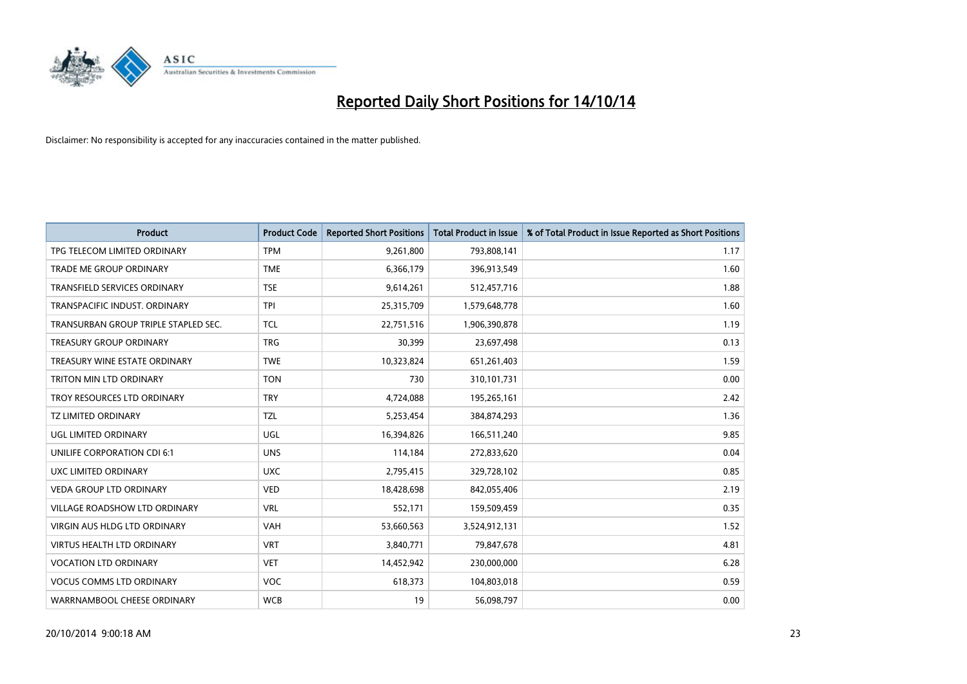

| <b>Product</b>                       | <b>Product Code</b> | <b>Reported Short Positions</b> | <b>Total Product in Issue</b> | % of Total Product in Issue Reported as Short Positions |
|--------------------------------------|---------------------|---------------------------------|-------------------------------|---------------------------------------------------------|
| TPG TELECOM LIMITED ORDINARY         | <b>TPM</b>          | 9,261,800                       | 793,808,141                   | 1.17                                                    |
| TRADE ME GROUP ORDINARY              | <b>TME</b>          | 6,366,179                       | 396,913,549                   | 1.60                                                    |
| <b>TRANSFIELD SERVICES ORDINARY</b>  | <b>TSE</b>          | 9,614,261                       | 512,457,716                   | 1.88                                                    |
| TRANSPACIFIC INDUST. ORDINARY        | <b>TPI</b>          | 25,315,709                      | 1,579,648,778                 | 1.60                                                    |
| TRANSURBAN GROUP TRIPLE STAPLED SEC. | <b>TCL</b>          | 22,751,516                      | 1,906,390,878                 | 1.19                                                    |
| <b>TREASURY GROUP ORDINARY</b>       | <b>TRG</b>          | 30,399                          | 23,697,498                    | 0.13                                                    |
| TREASURY WINE ESTATE ORDINARY        | <b>TWE</b>          | 10,323,824                      | 651,261,403                   | 1.59                                                    |
| TRITON MIN LTD ORDINARY              | <b>TON</b>          | 730                             | 310,101,731                   | 0.00                                                    |
| TROY RESOURCES LTD ORDINARY          | <b>TRY</b>          | 4,724,088                       | 195,265,161                   | 2.42                                                    |
| <b>TZ LIMITED ORDINARY</b>           | <b>TZL</b>          | 5,253,454                       | 384,874,293                   | 1.36                                                    |
| UGL LIMITED ORDINARY                 | UGL                 | 16,394,826                      | 166,511,240                   | 9.85                                                    |
| UNILIFE CORPORATION CDI 6:1          | <b>UNS</b>          | 114,184                         | 272,833,620                   | 0.04                                                    |
| UXC LIMITED ORDINARY                 | <b>UXC</b>          | 2,795,415                       | 329,728,102                   | 0.85                                                    |
| <b>VEDA GROUP LTD ORDINARY</b>       | <b>VED</b>          | 18,428,698                      | 842,055,406                   | 2.19                                                    |
| <b>VILLAGE ROADSHOW LTD ORDINARY</b> | <b>VRL</b>          | 552,171                         | 159,509,459                   | 0.35                                                    |
| <b>VIRGIN AUS HLDG LTD ORDINARY</b>  | VAH                 | 53,660,563                      | 3,524,912,131                 | 1.52                                                    |
| VIRTUS HEALTH LTD ORDINARY           | <b>VRT</b>          | 3,840,771                       | 79,847,678                    | 4.81                                                    |
| <b>VOCATION LTD ORDINARY</b>         | <b>VET</b>          | 14,452,942                      | 230,000,000                   | 6.28                                                    |
| <b>VOCUS COMMS LTD ORDINARY</b>      | <b>VOC</b>          | 618,373                         | 104,803,018                   | 0.59                                                    |
| WARRNAMBOOL CHEESE ORDINARY          | <b>WCB</b>          | 19                              | 56,098,797                    | 0.00                                                    |